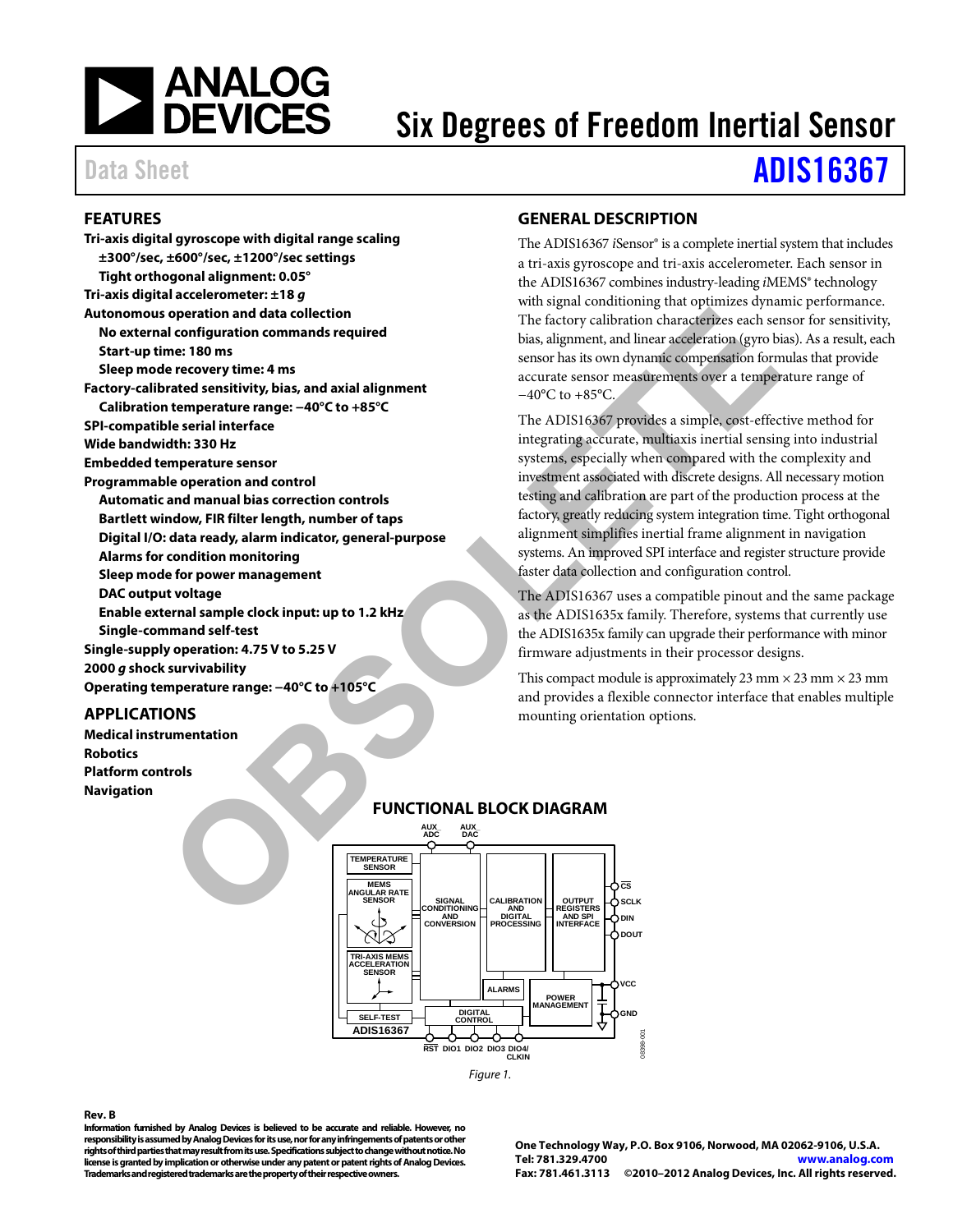

### Six Degrees of Freedom Inertial Sensor

## Data Sheet **[ADIS16367](www.analog.com/ADIS16367)**

#### <span id="page-0-0"></span>**FEATURES**

**Tri-axis digital gyroscope with digital range scaling ±300°/sec, ±600°/sec, ±1200°/sec settings Tight orthogonal alignment: 0.05° Tri-axis digital accelerometer: ±18** *g* **Autonomous operation and data collection No external configuration commands required Start-up time: 180 ms Sleep mode recovery time: 4 ms Factory-calibrated sensitivity, bias, and axial alignment Calibration temperature range: −40°C to +85°C SPI-compatible serial interface Wide bandwidth: 330 Hz Embedded temperature sensor Programmable operation and control Automatic and manual bias correction controls Bartlett window, FIR filter length, number of taps Digital I/O: data ready, alarm indicator, general-purpose Alarms for condition monitoring Sleep mode for power management DAC output voltage Enable external sample clock input: up to 1.2 kHz Single-command self-test Single-supply operation: 4.75 V to 5.25 V 2000** *g* **shock survivability Operating temperature range: −40°C to +105°C Solution and data collection**<br> **CONS**<br> **CONS**<br> **EXECTIONAL BLOCK DIAGRAM**<br> **CONS**<br> **EXECTIONAL BLOCK DIAGRAM**<br> **CONS**<br> **EXECTIONAL BLOCK DIAGRAM**<br> **CONS**<br> **CONS**<br> **EXECTIONAL BLOCK DIAGRAM**<br> **CONS**<br> **CONS**<br> **CONS**<br> **CONS** 

#### <span id="page-0-1"></span>**APPLICATIONS**

<span id="page-0-3"></span>**Medical instrumentation Robotics Platform controls Navigation**

#### <span id="page-0-2"></span>**GENERAL DESCRIPTION**

The ADIS16367 *i*Sensor® is a complete inertial system that includes a tri-axis gyroscope and tri-axis accelerometer. Each sensor in the ADIS16367 combines industry-leading *i*MEMS® technology with signal conditioning that optimizes dynamic performance. The factory calibration characterizes each sensor for sensitivity, bias, alignment, and linear acceleration (gyro bias). As a result, each sensor has its own dynamic compensation formulas that provide accurate sensor measurements over a temperature range of −40°C to +85°C.

The ADIS16367 provides a simple, cost-effective method for integrating accurate, multiaxis inertial sensing into industrial systems, especially when compared with the complexity and investment associated with discrete designs. All necessary motion testing and calibration are part of the production process at the factory, greatly reducing system integration time. Tight orthogonal alignment simplifies inertial frame alignment in navigation systems. An improved SPI interface and register structure provide faster data collection and configuration control.

The ADIS16367 uses a compatible pinout and the same package as the ADIS1635x family. Therefore, systems that currently use the ADIS1635x family can upgrade their performance with minor firmware adjustments in their processor designs.

This compact module is approximately 23 mm  $\times$  23 mm  $\times$  23 mm and provides a flexible connector interface that enables multiple mounting orientation options.



*Figure 1.* 

#### **Rev. B**

**Information furnished by Analog Devices is believed to be accurate and reliable. However, no responsibility is assumed by Analog Devices for itsuse, nor for any infringements of patents or other rights of third parties that may result from its use. Specifications subject to change without notice. No license is granted by implication or otherwise under any patent or patent rights of Analog Devices. Trademarks and registered trademarks are the property of their respective owners.**

**One Technology Way, P.O. Box 9106, Norwood, MA 02062-9106, U.S.A. Tel: 781.329.4700 [www.analog.com](http://www.analog.com/)  Fax: 781.461.3113 ©2010–2012 Analog Devices, Inc. All rights reserved.**

08398-001

CO<sub>1</sub>

#### **FUNCTIONAL BLOCK DIAGRAM**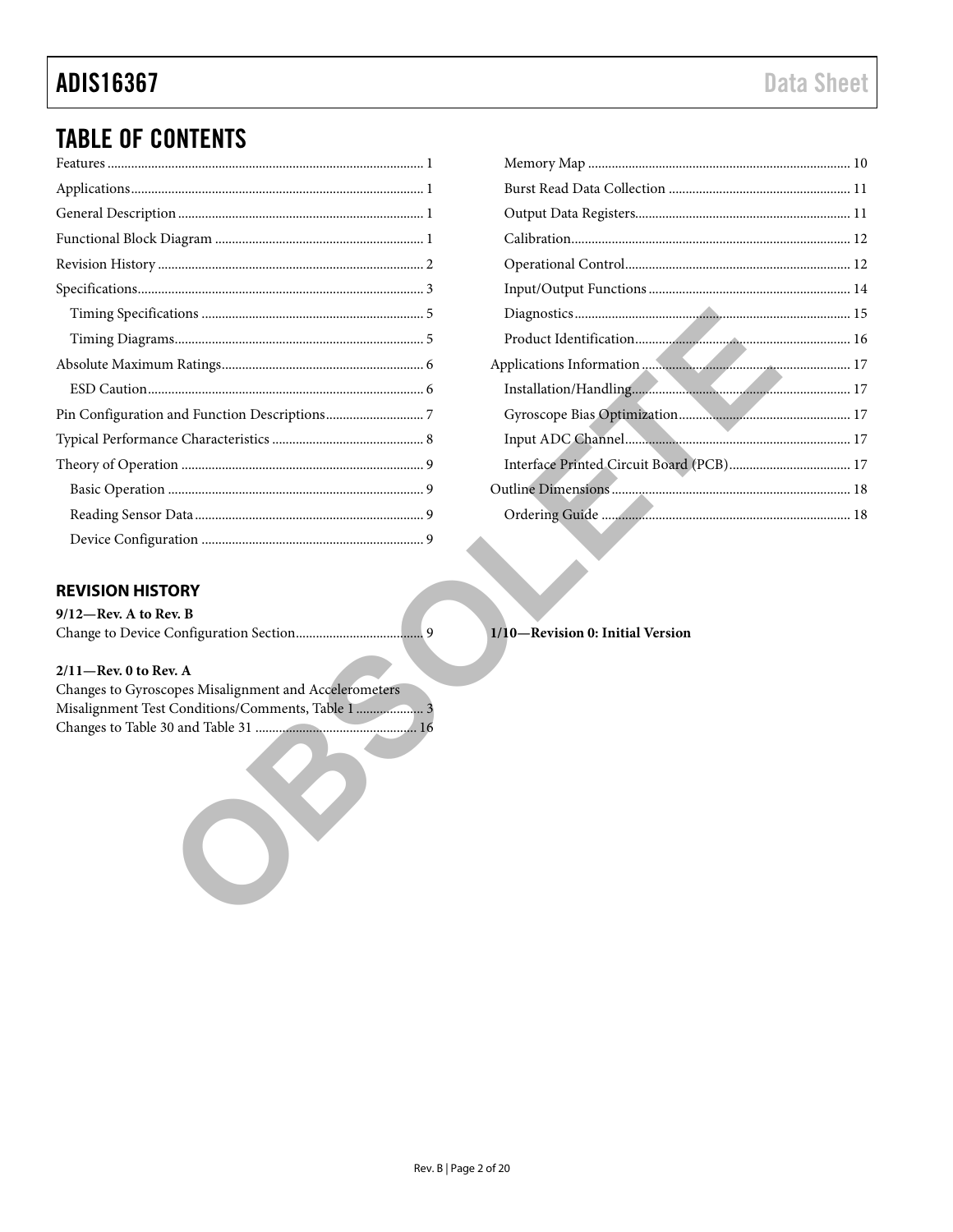### **ADIS16367**

### **TABLE OF CONTENTS**

### <span id="page-1-0"></span>**REVISION HISTORY**

 $9/12$ -Rev. A to Rev. B

#### $2/11$ -Rev. 0 to Rev. A

Changes to Gyroscopes Misalignment and Accelerometers Misalignment Test Conditions/Comments, Table 1.......................... 3 

1/10-Revision 0: Initial Version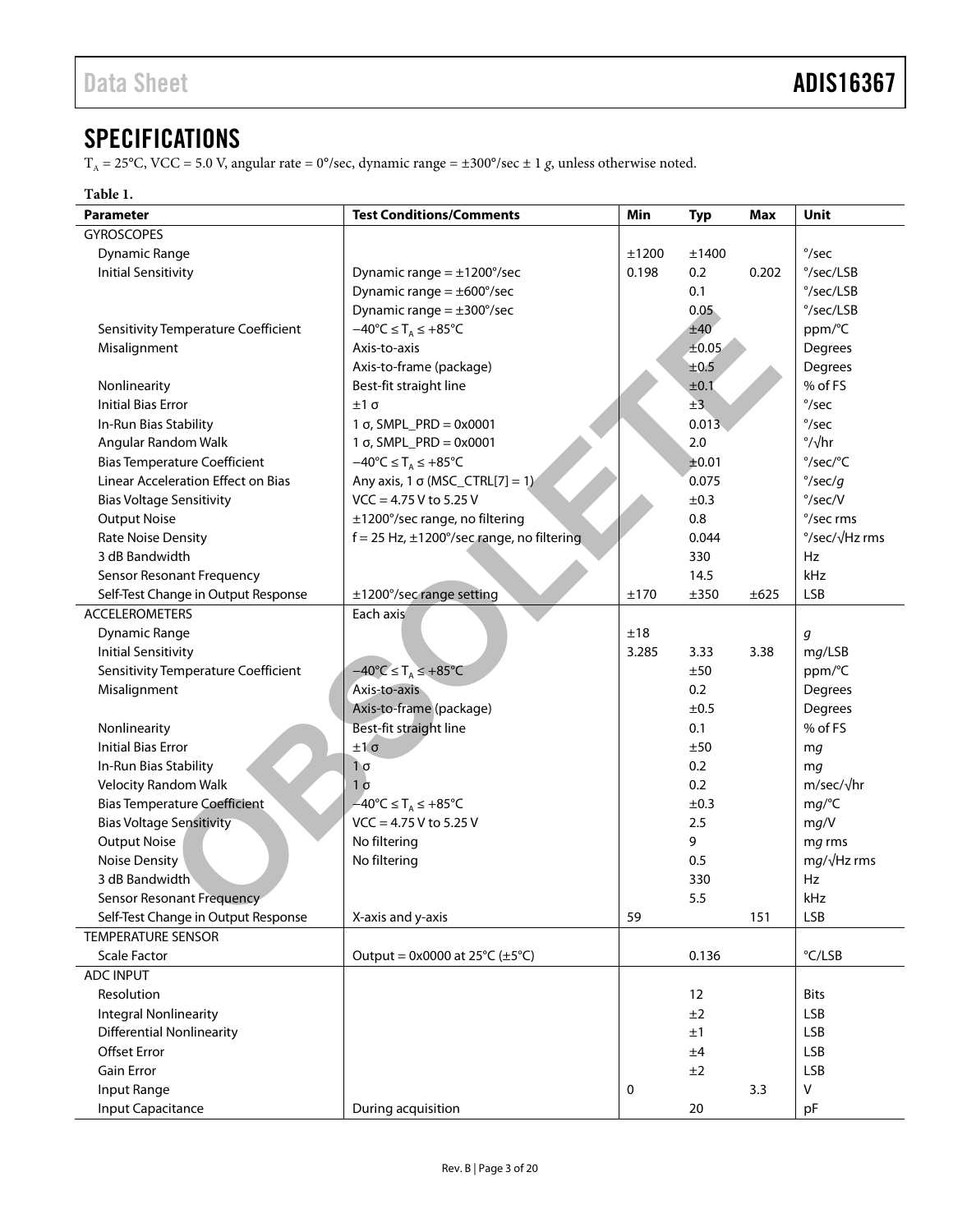### <span id="page-2-0"></span>**SPECIFICATIONS**

 $T_A = 25^{\circ}$ C, VCC = 5.0 V, angular rate = 0°/sec, dynamic range =  $\pm 300^{\circ}$ /sec  $\pm 1$  g, unless otherwise noted.

#### <span id="page-2-1"></span>**Table 1.**

| Parameter                                                        | <b>Test Conditions/Comments</b>                         | Min   | <b>Typ</b> | <b>Max</b> | Unit                     |
|------------------------------------------------------------------|---------------------------------------------------------|-------|------------|------------|--------------------------|
| <b>GYROSCOPES</b>                                                |                                                         |       |            |            |                          |
| <b>Dynamic Range</b>                                             |                                                         | ±1200 | ±1400      |            | $\degree$ /sec           |
| <b>Initial Sensitivity</b>                                       | Dynamic range $= \pm 1200^{\circ}/sec$                  | 0.198 | 0.2        | 0.202      | °/sec/LSB                |
|                                                                  | Dynamic range $= \pm 600^{\circ}/sec$                   |       | 0.1        |            | °/sec/LSB                |
|                                                                  | Dynamic range $= \pm 300^{\circ}/sec$                   |       | 0.05       |            | $\degree$ /sec/LSB       |
| Sensitivity Temperature Coefficient                              | $-40^{\circ}C \leq T_A \leq +85^{\circ}C$               |       | ±40        |            | ppm/°C                   |
| Misalignment                                                     | Axis-to-axis                                            |       | ±0.05      |            | Degrees                  |
|                                                                  | Axis-to-frame (package)                                 |       | ±0.5       |            | Degrees                  |
| Nonlinearity                                                     | Best-fit straight line                                  |       | ±0.1       |            | % of FS                  |
| <b>Initial Bias Error</b>                                        | $±1\sigma$                                              |       | ±3         |            | $^{\circ}/sec$           |
| In-Run Bias Stability                                            | 1 σ, SMPL_PRD = 0x0001                                  |       | 0.013      |            | $\degree$ /sec           |
| Angular Random Walk                                              | 1 σ, SMPL_PRD = 0x0001                                  |       | 2.0        |            | $\degree$ / $\sqrt{hr}$  |
| <b>Bias Temperature Coefficient</b>                              | $-40^{\circ}C \leq T_A \leq +85^{\circ}C$               |       | ±0.01      |            | °/sec/°C                 |
| Linear Acceleration Effect on Bias                               | Any axis, 1 $\sigma$ (MSC_CTRL[7] = 1)                  |       | 0.075      |            | $\degree$ /sec/g         |
| <b>Bias Voltage Sensitivity</b>                                  | $VCC = 4.75 V$ to 5.25 V                                |       | ±0.3       |            | $\degree$ /sec/V         |
| <b>Output Noise</b>                                              | ±1200°/sec range, no filtering                          |       | 0.8        |            | °/sec rms                |
| <b>Rate Noise Density</b>                                        | $f = 25$ Hz, $\pm 1200^{\circ}/sec$ range, no filtering |       | 0.044      |            | °/sec/√Hz rms            |
| 3 dB Bandwidth                                                   |                                                         |       | 330        |            | Hz                       |
| Sensor Resonant Frequency                                        |                                                         |       | 14.5       |            | kHz                      |
| Self-Test Change in Output Response                              | ±1200°/sec range setting                                | ±170  | ±350       | ±625       | <b>LSB</b>               |
| <b>ACCELEROMETERS</b>                                            | Each axis                                               |       |            |            |                          |
| <b>Dynamic Range</b>                                             |                                                         | ±18   |            |            | g                        |
| <b>Initial Sensitivity</b>                                       |                                                         | 3.285 | 3.33       | 3.38       | mg/LSB                   |
| Sensitivity Temperature Coefficient                              | $-40^{\circ}$ C $\leq$ T <sub>A</sub> $\leq$ +85°C      |       | ±50        |            | ppm/°C                   |
| Misalignment                                                     | Axis-to-axis                                            |       | 0.2        |            | Degrees                  |
|                                                                  | Axis-to-frame (package)                                 |       | ±0.5       |            | Degrees                  |
| Nonlinearity                                                     | Best-fit straight line                                  |       | 0.1        |            | % of FS                  |
| <b>Initial Bias Error</b>                                        | ±1σ                                                     |       | ±50        |            | mg                       |
| In-Run Bias Stability                                            | $1\sigma$                                               | 0.2   |            |            | mq                       |
| <b>Velocity Random Walk</b>                                      | $1\sigma$                                               | 0.2   |            |            | $m/sec/\sqrt{hr}$        |
| <b>Bias Temperature Coefficient</b>                              | $-40^{\circ}$ C $\leq$ T <sub>A</sub> $\leq$ +85°C      | ±0.3  |            |            | mg/C                     |
| <b>Bias Voltage Sensitivity</b>                                  | $VCC = 4.75 V$ to 5.25 V                                |       | 2.5        |            | mg/V                     |
| <b>Output Noise</b>                                              | No filtering                                            |       | 9          |            | mg rms                   |
| <b>Noise Density</b>                                             | No filtering                                            |       | 0.5        |            | $mg/\sqrt{Hz}$ rms       |
| 3 dB Bandwidth                                                   |                                                         |       | 330        |            | Hz                       |
| <b>Sensor Resonant Frequency</b>                                 |                                                         |       | 5.5        |            | kHz                      |
| Self-Test Change in Output Response                              | X-axis and y-axis                                       | 59    |            | 151        | <b>LSB</b>               |
| <b>TEMPERATURE SENSOR</b>                                        |                                                         |       |            |            |                          |
| <b>Scale Factor</b>                                              | Output = $0x0000$ at $25^{\circ}C (\pm 5^{\circ}C)$     |       | 0.136      |            | °C/LSB                   |
| <b>ADC INPUT</b>                                                 |                                                         |       |            |            |                          |
| Resolution                                                       |                                                         |       | 12         |            | <b>Bits</b>              |
|                                                                  |                                                         |       | ±2         |            | <b>LSB</b>               |
| <b>Integral Nonlinearity</b><br><b>Differential Nonlinearity</b> |                                                         |       |            |            |                          |
|                                                                  |                                                         |       | ±1         |            | <b>LSB</b>               |
| <b>Offset Error</b><br><b>Gain Error</b>                         |                                                         |       | ±4         |            | <b>LSB</b><br><b>LSB</b> |
| Input Range                                                      |                                                         |       | ±2         |            | $\mathsf{V}$             |
|                                                                  |                                                         | 0     |            | 3.3        |                          |
| Input Capacitance                                                | During acquisition                                      |       | $20\,$     |            | pF                       |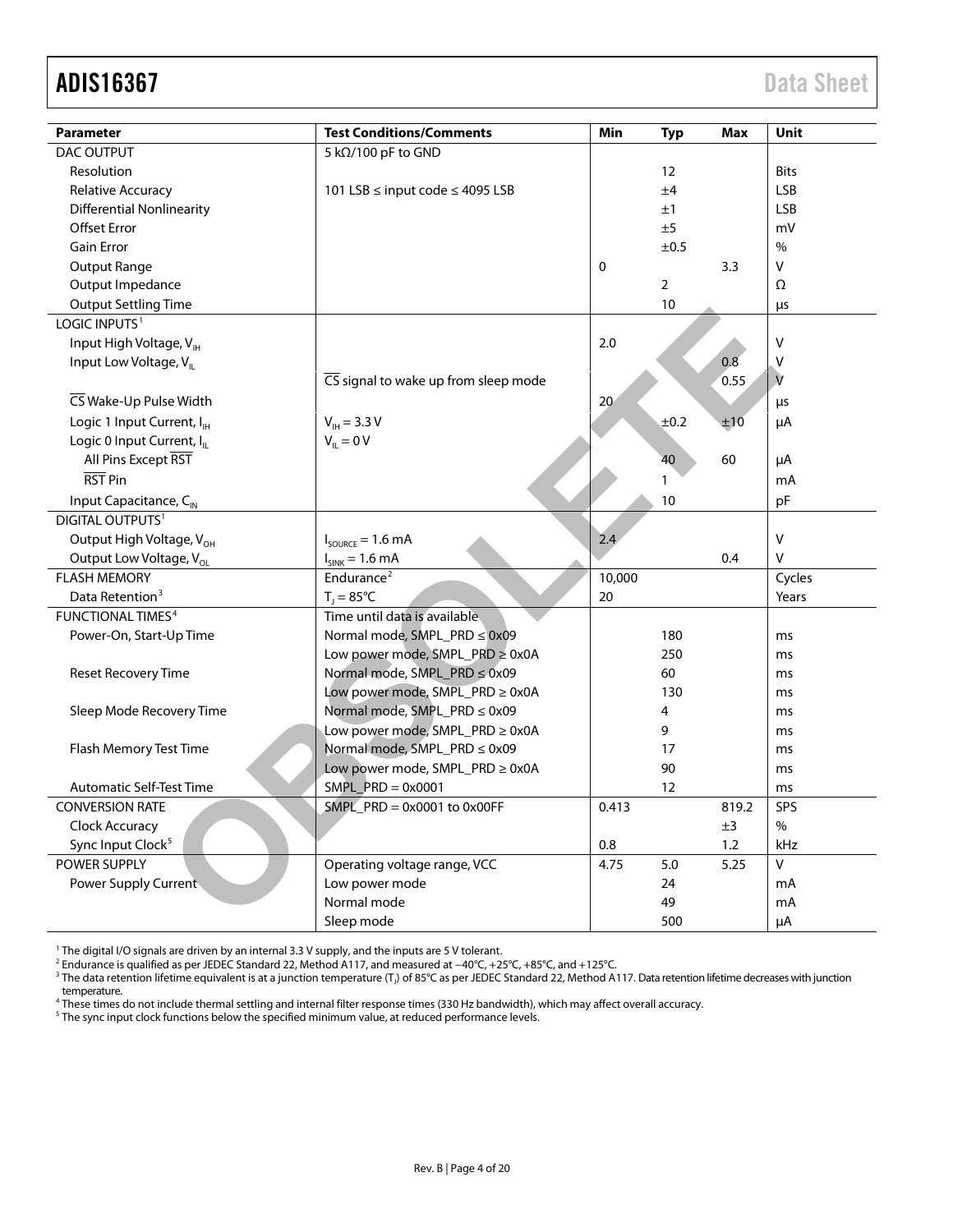### ADIS16367 Data Sheet

| <b>Parameter</b>                       | <b>Test Conditions/Comments</b>                          | Min         | Typ            | Max   | Unit          |
|----------------------------------------|----------------------------------------------------------|-------------|----------------|-------|---------------|
| DAC OUTPUT                             | 5 kΩ/100 pF to GND                                       |             |                |       |               |
| Resolution                             |                                                          |             | 12             |       | <b>Bits</b>   |
| <b>Relative Accuracy</b>               | 101 LSB ≤ input code ≤ 4095 LSB                          |             | ±4             |       | <b>LSB</b>    |
| <b>Differential Nonlinearity</b>       |                                                          |             | ±1             |       | <b>LSB</b>    |
| <b>Offset Error</b>                    |                                                          |             | ±5             |       | mV            |
| <b>Gain Error</b>                      |                                                          |             | ±0.5           |       | $\frac{0}{0}$ |
| <b>Output Range</b>                    |                                                          | $\mathbf 0$ |                | 3.3   | V             |
| Output Impedance                       |                                                          |             | $\overline{2}$ |       | Ω             |
| <b>Output Settling Time</b>            |                                                          |             | 10             |       | μs            |
| LOGIC INPUTS <sup>1</sup>              |                                                          |             |                |       |               |
| Input High Voltage, V <sub>IH</sub>    |                                                          | 2.0         |                |       | $\vee$        |
| Input Low Voltage, V <sub>II</sub>     |                                                          |             |                | 0.8   | $\mathsf{V}$  |
|                                        | $\overline{\text{CS}}$ signal to wake up from sleep mode |             |                | 0.55  | $\mathsf{V}$  |
| CS Wake-Up Pulse Width                 |                                                          | 20          |                |       | μs            |
| Logic 1 Input Current, I <sub>H</sub>  | $V_{\text{IH}} = 3.3 V$                                  |             | ±0.2           | ±10   | μA            |
| Logic 0 Input Current, I <sub>IL</sub> | $V_{IL} = 0 V$                                           |             |                |       |               |
| All Pins Except RST                    |                                                          |             | 40             | 60    | μA            |
| RST Pin                                |                                                          |             | $\mathbf{1}$   |       | mA            |
| Input Capacitance, C <sub>IN</sub>     |                                                          |             | 10             |       | pF            |
| <b>DIGITAL OUTPUTS<sup>1</sup></b>     |                                                          |             |                |       |               |
| Output High Voltage, V <sub>OH</sub>   | $I_{\text{SOURCE}} = 1.6 \text{ mA}$                     | 2.4         |                |       | $\vee$        |
| Output Low Voltage, V <sub>ol</sub>    | $I_{SINK}$ = 1.6 mA                                      |             |                | 0.4   | V             |
| <b>FLASH MEMORY</b>                    | Endurance <sup>2</sup>                                   | 10,000      |                |       | Cycles        |
| Data Retention <sup>3</sup>            | $T_1 = 85^{\circ}C$                                      | 20          |                |       | Years         |
| <b>FUNCTIONAL TIMES<sup>4</sup></b>    | Time until data is available                             |             |                |       |               |
| Power-On, Start-Up Time                | Normal mode, SMPL_PRD ≤ 0x09                             |             | 180            |       | ms            |
|                                        | Low power mode, SMPL_PRD ≥ 0x0A                          |             | 250            |       | ms            |
| Reset Recovery Time                    | Normal mode, SMPL_PRD ≤ 0x09                             |             | 60             |       | ms            |
|                                        | Low power mode, SMPL_PRD ≥ 0x0A                          |             | 130            |       | ms            |
| Sleep Mode Recovery Time               | Normal mode, SMPL_PRD ≤ 0x09                             |             | 4              |       | ms            |
|                                        | Low power mode, SMPL_PRD ≥ 0x0A                          |             | 9              |       | ms            |
| Flash Memory Test Time                 | Normal mode, SMPL_PRD ≤ 0x09                             |             | 17             |       | ms            |
|                                        | Low power mode, SMPL_PRD ≥ 0x0A                          |             | 90             |       | ms            |
| <b>Automatic Self-Test Time</b>        | $SMPL_PRD = 0x0001$                                      |             | 12             |       | ms            |
| <b>CONVERSION RATE</b>                 | $SMPL\_PRD = 0x0001$ to $0x00FF$                         | 0.413       |                | 819.2 | SPS           |
| Clock Accuracy                         |                                                          |             |                | ±3    | $\%$          |
| Sync Input Clock <sup>5</sup>          |                                                          | 0.8         |                | 1.2   | kHz           |
| <b>POWER SUPPLY</b>                    | Operating voltage range, VCC                             | 4.75        | 5.0            | 5.25  | $\mathsf{V}$  |
| Power Supply Current                   | Low power mode                                           |             | 24             |       | mA            |
|                                        | Normal mode                                              |             | 49             |       | mA            |
|                                        | Sleep mode                                               |             | 500            |       | μA            |

 $1$  The digital I/O signals are driven by an internal 3.3 V supply, and the inputs are 5 V tolerant.

<sup>2</sup> Endurance is qualified as per JEDEC Standard 22, Method A117, and measured at −40°C, +25°C, +85°C, and +125°C.<br><sup>3</sup> The data retention lifetime equivalent is at a junction temperature (T<sub>J</sub>) of 85°C as per JEDEC Standa

temperature. <sup>4</sup> These times do not include thermal settling and internal filter response times (330 Hz bandwidth), which may affect overall accuracy.

 $^5$  The sync input clock functions below the specified minimum value, at reduced performance levels.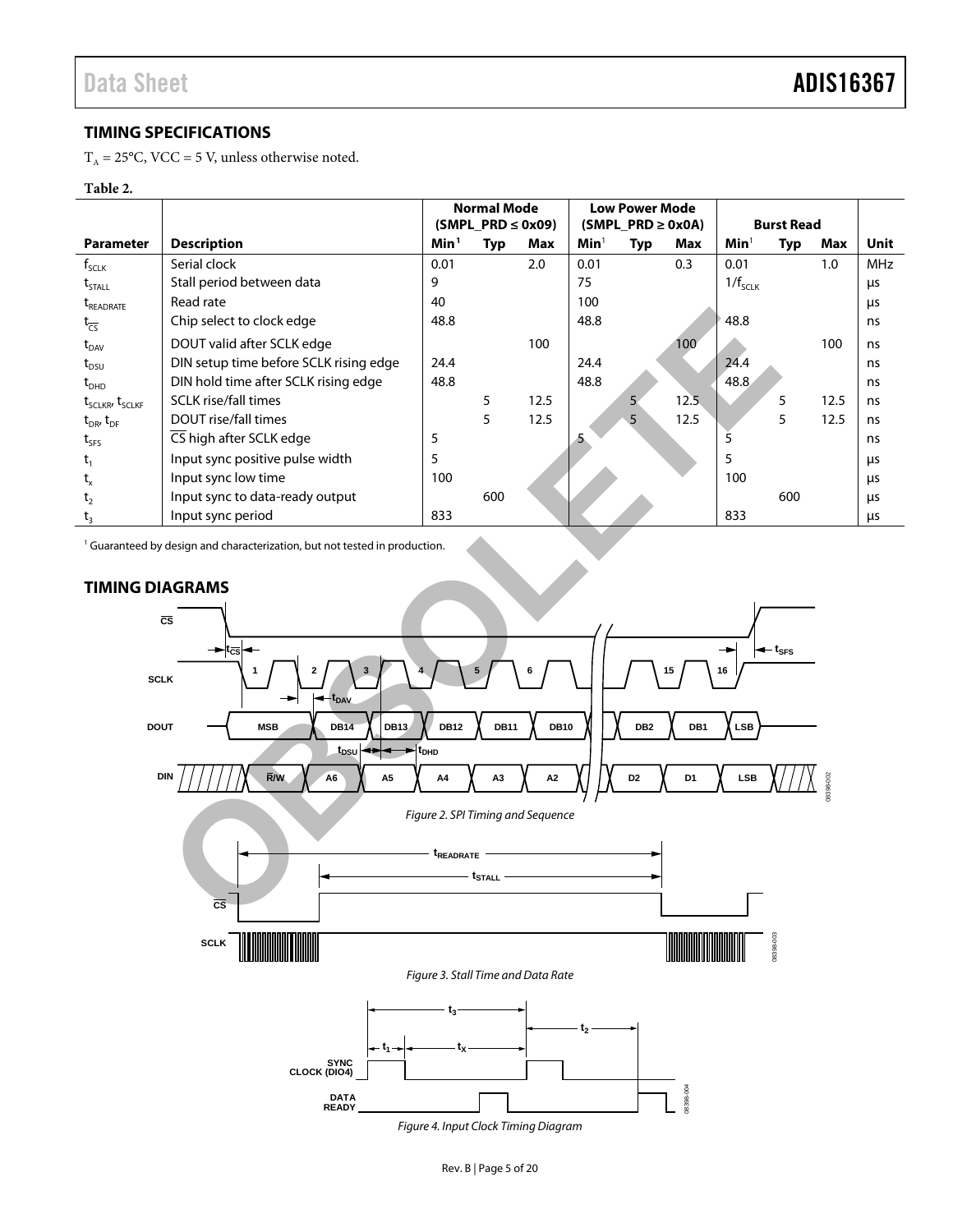08398-002

3398-002

#### <span id="page-4-0"></span>**TIMING SPECIFICATIONS**

 $T_A = 25^{\circ}$ C, VCC = 5 V, unless otherwise noted.

#### <span id="page-4-2"></span>**Table 2.**

|                                        |                                        | <b>Normal Mode</b> |                        | <b>Low Power Mode</b> |                        |                |                   |                  |     |      |            |
|----------------------------------------|----------------------------------------|--------------------|------------------------|-----------------------|------------------------|----------------|-------------------|------------------|-----|------|------------|
|                                        |                                        |                    | $(SMPI_PRD \leq 0x09)$ |                       | $(SMPI_PRD \geq 0x0A)$ |                | <b>Burst Read</b> |                  |     |      |            |
| <b>Parameter</b>                       | <b>Description</b>                     | Min <sup>1</sup>   | Typ                    | Max                   | <b>Min</b>             | Typ            | Max               | Min <sup>1</sup> | Typ | Max  | Unit       |
| $f_{\text{SCLK}}$                      | Serial clock                           | 0.01               |                        | 2.0                   | 0.01                   |                | 0.3               | 0.01             |     | 1.0  | <b>MHz</b> |
| $\mathrm{t}_{\textnormal{STALL}}$      | Stall period between data              | 9                  |                        |                       | 75                     |                |                   | $1/f_{SCLK}$     |     |      | μs         |
| t <sub>readrate</sub>                  | Read rate                              | 40                 |                        |                       | 100                    |                |                   |                  |     |      | μs         |
| $t_{\overline{CS}}$                    | Chip select to clock edge              | 48.8               |                        |                       | 48.8                   |                |                   | 48.8             |     |      | ns         |
| $\rm{t}_{\rm{DAV}}$                    | DOUT valid after SCLK edge             |                    |                        | 100                   |                        |                | 100               |                  |     | 100  | ns         |
| $\rm{t}_{\rm DSU}$                     | DIN setup time before SCLK rising edge | 24.4               |                        |                       | 24.4                   |                |                   | 24.4             |     |      | ns         |
| $\rm t_{\scriptscriptstyle DHD}$       | DIN hold time after SCLK rising edge   | 48.8               |                        |                       | 48.8                   |                |                   | 48.8             |     |      | ns         |
| $t_{\text{SCLKR'}}$ $t_{\text{SCLKF}}$ | <b>SCLK</b> rise/fall times            |                    | 5                      | 12.5                  |                        | 5 <sub>1</sub> | 12.5              |                  | 5   | 12.5 | ns         |
| $t_{DR}$ , $t_{DF}$                    | DOUT rise/fall times                   |                    | 5                      | 12.5                  |                        | 5              | 12.5              |                  | 5   | 12.5 | ns         |
| $t_{SFS}$                              | CS high after SCLK edge                | 5                  |                        |                       |                        |                |                   |                  |     |      | ns         |
| $t_1$                                  | Input sync positive pulse width        | 5                  |                        |                       |                        |                |                   | 5                |     |      | μs         |
| $t_{x}$                                | Input sync low time                    | 100                |                        |                       |                        |                |                   | 100              |     |      | μs         |
| t <sub>2</sub>                         | Input sync to data-ready output        |                    | 600                    |                       |                        |                |                   | 600              |     |      | μs         |
| t,                                     | Input sync period                      | 833                |                        |                       |                        |                |                   | 833              |     |      | μs         |

<sup>1</sup> Guaranteed by design and characterization, but not tested in production.

<span id="page-4-3"></span><span id="page-4-1"></span>

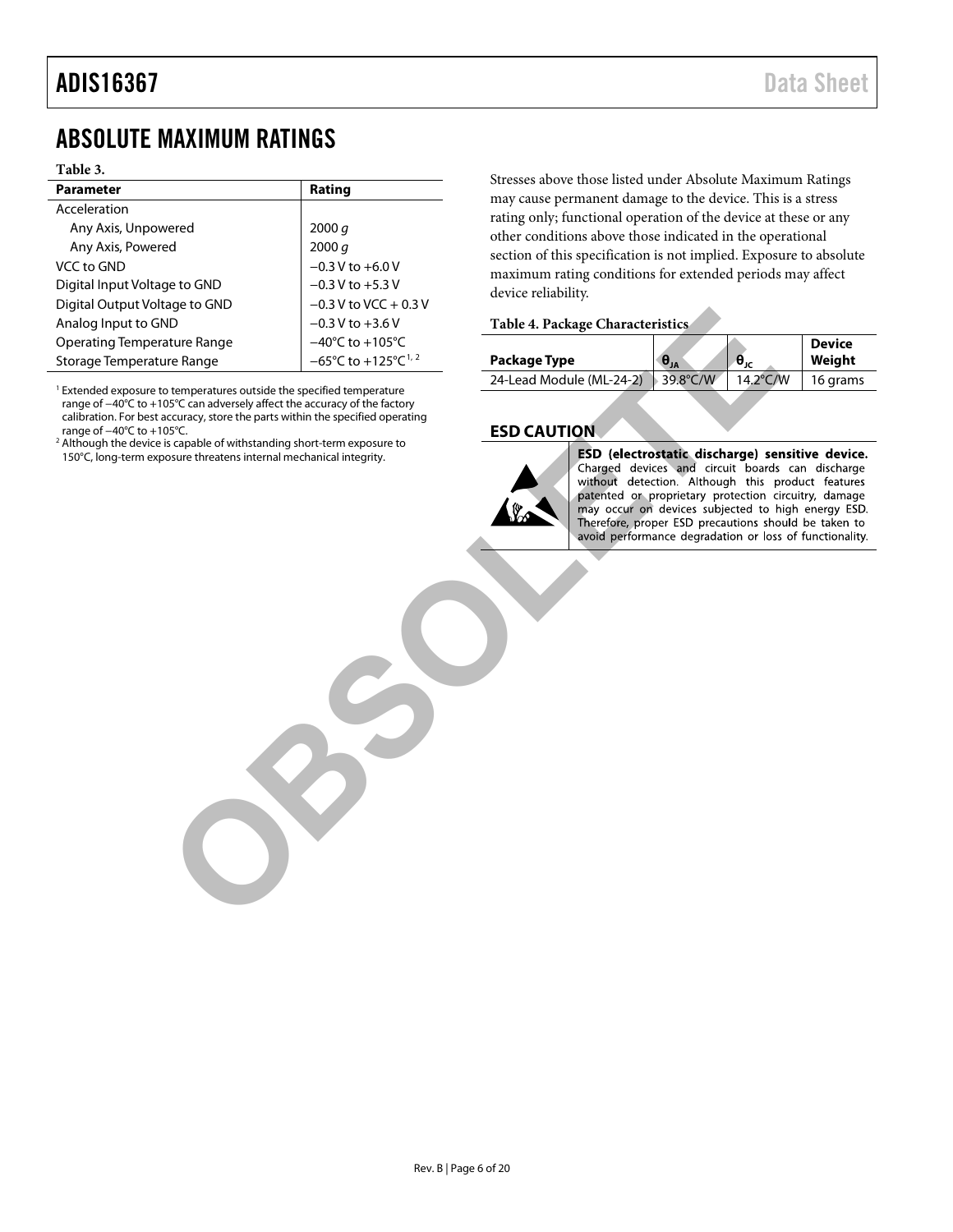### <span id="page-5-0"></span>ABSOLUTE MAXIMUM RATINGS

#### **Table 3.**

| <b>Parameter</b>              | Rating                                              |
|-------------------------------|-----------------------------------------------------|
| Acceleration                  |                                                     |
| Any Axis, Unpowered           | 2000 q                                              |
| Any Axis, Powered             | 2000 q                                              |
| VCC to GND                    | $-0.3$ V to $+6.0$ V                                |
| Digital Input Voltage to GND  | $-0.3$ V to $+5.3$ V                                |
| Digital Output Voltage to GND | $-0.3$ V to VCC + 0.3 V                             |
| Analog Input to GND           | $-0.3$ V to $+3.6$ V                                |
| Operating Temperature Range   | $-40^{\circ}$ C to $+105^{\circ}$ C                 |
| Storage Temperature Range     | $-65^{\circ}$ C to $+125^{\circ}$ C <sup>1, 2</sup> |

<span id="page-5-2"></span> $1$  Extended exposure to temperatures outside the specified temperature range of −40°C to +105°C can adversely affect the accuracy of the factory calibration. For best accuracy, store the parts within the specified operating range of −40°C to +105°C.

<span id="page-5-3"></span><sup>2</sup> Although the device is capable of withstanding short-term exposure to 150°C, long-term exposure threatens internal mechanical integrity.

Stresses above those listed under Absolute Maximum Ratings may cause permanent damage to the device. This is a stress rating only; functional operation of the device at these or any other conditions above those indicated in the operational section of this specification is not implied. Exposure to absolute maximum rating conditions for extended periods may affect device reliability.

#### **Table 4. Package Characteristics**

| Package Type             | $\theta_{JA}$                  | $\bm{\theta}_{\texttt{JC}}$ | <b>Device</b><br>Weiaht |
|--------------------------|--------------------------------|-----------------------------|-------------------------|
| 24-Lead Module (ML-24-2) | $\blacktriangleright$ 39.8°C/W | 14.2°C/W                    | 16 grams                |

#### <span id="page-5-1"></span>**ESD CAUTION**



Matter Range<br>
Table 4. Package Characteristics<br>
Interpretative outside the specified emperature<br>
SC to  $+125^{\circ}$ C is  $-65^{\circ}$ C to  $+125^{\circ}$ C is  $-65^{\circ}$ C to  $+125^{\circ}$ C is  $-65^{\circ}$ C to  $+125^{\circ}$ C is an absent with th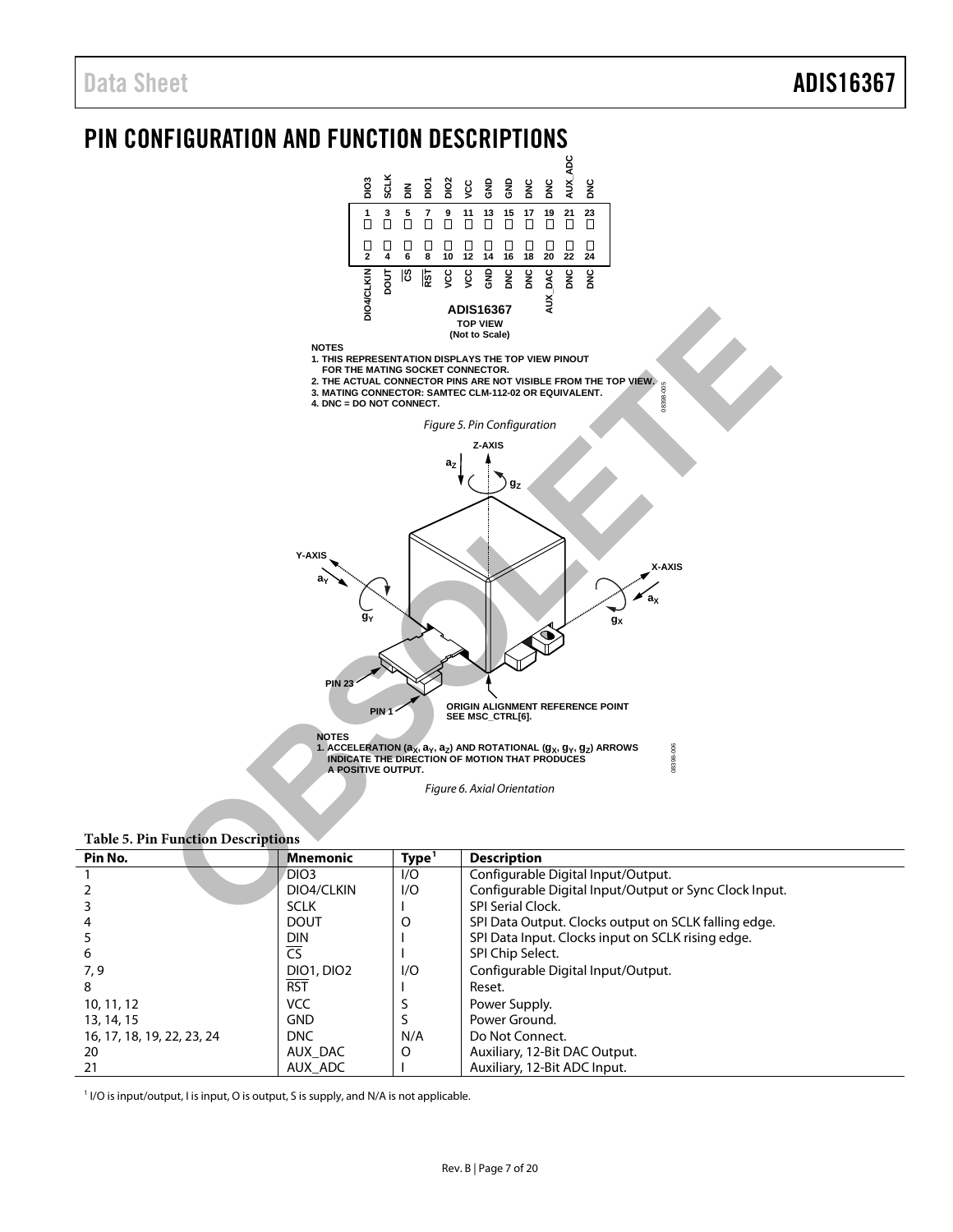# <span id="page-6-0"></span>**PIN CONFIGURATION AND FUNCTION DESCRIPTIONS**



#### <span id="page-6-2"></span><span id="page-6-1"></span>**Table 5. Pin Function Descriptions**

| Pin No.                    | <b>Mnemonic</b>          | Type <sup>1</sup> | <b>Description</b>                                     |
|----------------------------|--------------------------|-------------------|--------------------------------------------------------|
|                            | DIO <sub>3</sub>         | I/O               | Configurable Digital Input/Output.                     |
|                            | DIO4/CLKIN               | 1/O               | Configurable Digital Input/Output or Sync Clock Input. |
|                            | <b>SCLK</b>              |                   | <b>SPI Serial Clock.</b>                               |
|                            | <b>DOUT</b>              | O                 | SPI Data Output. Clocks output on SCLK falling edge.   |
|                            | <b>DIN</b>               |                   | SPI Data Input. Clocks input on SCLK rising edge.      |
| 6                          | $\overline{\mathsf{CS}}$ |                   | SPI Chip Select.                                       |
| 7,9                        | <b>DIO1, DIO2</b>        | 1/O               | Configurable Digital Input/Output.                     |
| 8                          | <b>RST</b>               |                   | Reset.                                                 |
| 10, 11, 12                 | <b>VCC</b>               |                   | Power Supply.                                          |
| 13, 14, 15                 | <b>GND</b>               |                   | Power Ground.                                          |
| 16, 17, 18, 19, 22, 23, 24 | DNC                      | N/A               | Do Not Connect.                                        |
| 20                         | AUX DAC                  | O                 | Auxiliary, 12-Bit DAC Output.                          |
| 21                         | AUX ADC                  |                   | Auxiliary, 12-Bit ADC Input.                           |

<sup>1</sup> I/O is input/output, I is input, O is output, S is supply, and N/A is not applicable.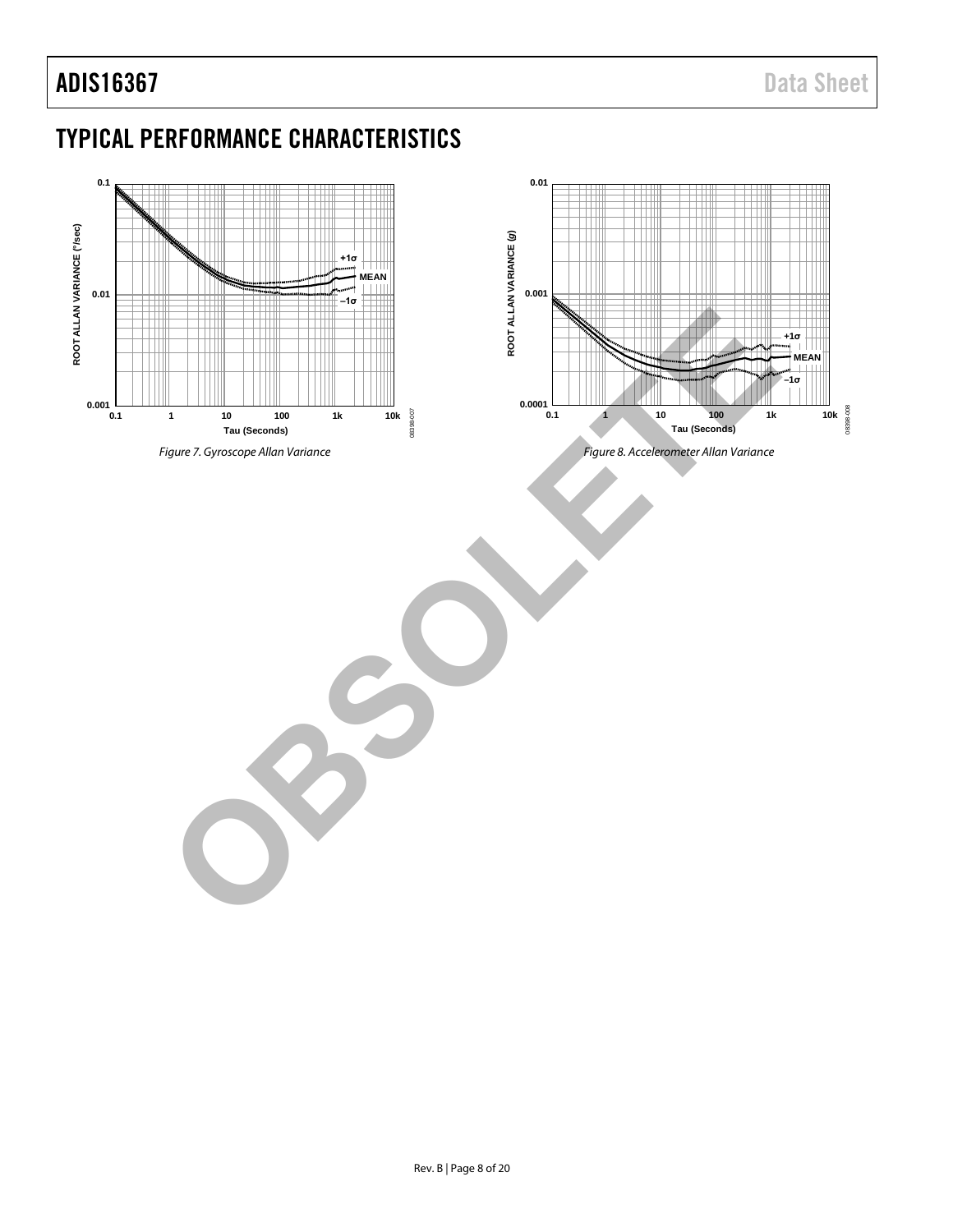### ADIS16367 Data Sheet

### <span id="page-7-0"></span>TYPICAL PERFORMANCE CHARACTERISTICS

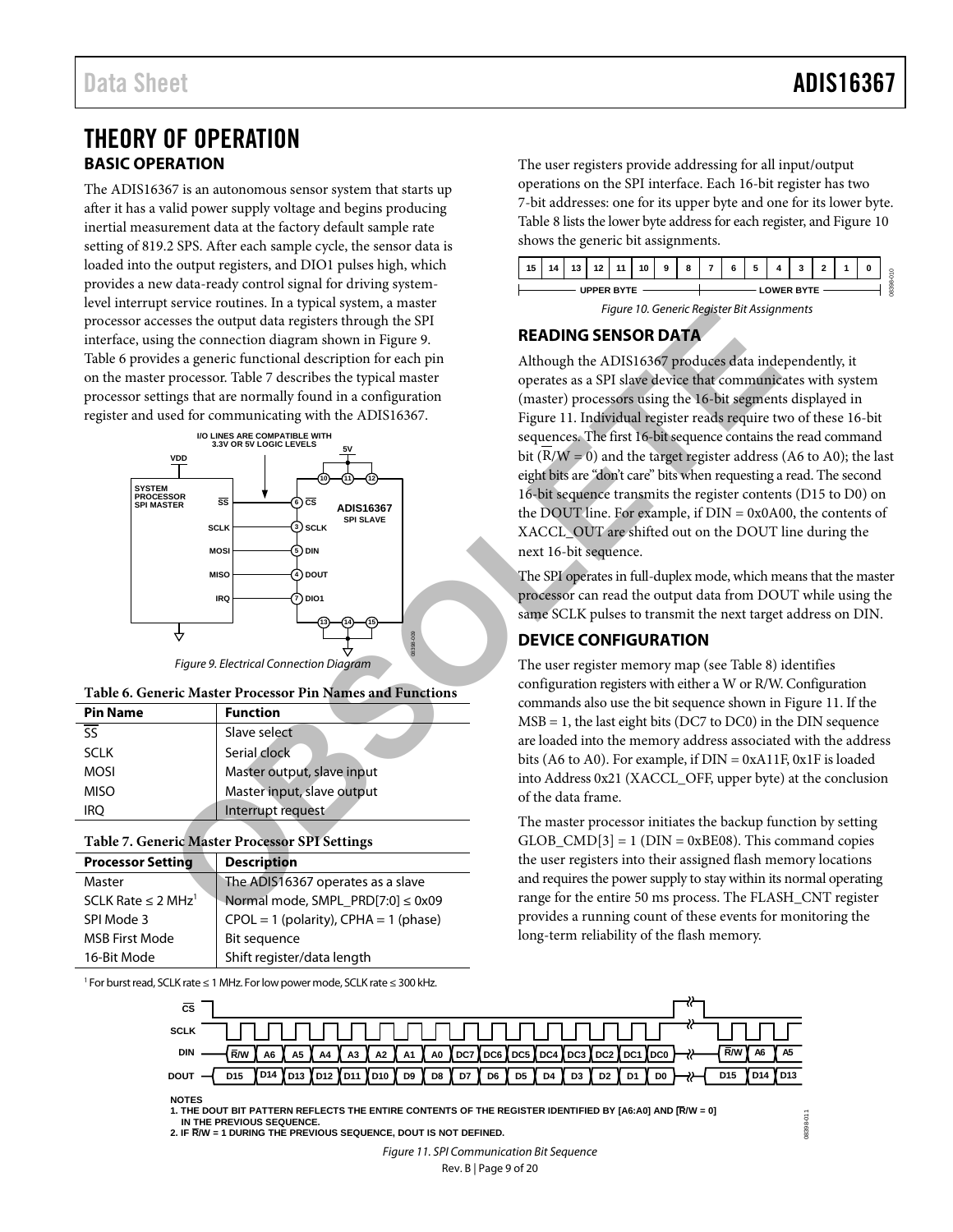### <span id="page-8-0"></span>THEORY OF OPERATION **BASIC OPERATION**

<span id="page-8-1"></span>The ADIS16367 is an autonomous sensor system that starts up after it has a valid power supply voltage and begins producing inertial measurement data at the factory default sample rate setting of 819.2 SPS. After each sample cycle, the sensor data is loaded into the output registers, and DIO1 pulses high, which provides a new data-ready control signal for driving systemlevel interrupt service routines. In a typical system, a master processor accesses the output data registers through the SPI interface, using the connection diagram shown in Figure 9. [Table 6](#page-8-5) provides a generic functional description for each pin on the master processor. Table 7 describes the typical master processor settings that are normally found in a configuration register and used for communicating with the ADIS16367.



*Figure 9. Electrical Connection Diagram*

<span id="page-8-5"></span><span id="page-8-4"></span>

| Table 6. Generic Master Processor Pin Names and Functions |  |  |  |
|-----------------------------------------------------------|--|--|--|
|-----------------------------------------------------------|--|--|--|

| <b>Pin Name</b>          | <b>Function</b>            |
|--------------------------|----------------------------|
| $\overline{\mathsf{ss}}$ | Slave select               |
| <b>SCLK</b>              | Serial clock               |
| <b>MOSI</b>              | Master output, slave input |
| <b>MISO</b>              | Master input, slave output |
| iro                      | Interrupt request          |

#### <span id="page-8-6"></span>**Table 7. Generic Master Processor SPI Settings**

| <b>Processor Setting</b>            | <b>Description</b>                        |
|-------------------------------------|-------------------------------------------|
| Master                              | The ADIS16367 operates as a slave         |
| SCLK Rate $\leq$ 2 MHz <sup>1</sup> | Normal mode, SMPL_PRD[7:0] ≤ 0x09         |
| SPI Mode 3                          | $CPOL = 1$ (polarity), $CPHA = 1$ (phase) |
| <b>MSB First Mode</b>               | Bit sequence                              |
| 16-Bit Mode                         | Shift register/data length                |

<sup>1</sup> For burst read, SCLK rate ≤ 1 MHz. For low power mode, SCLK rate ≤ 300 kHz.

The user registers provide addressing for all input/output operations on the SPI interface. Each 16-bit register has two 7-bit addresses: one for its upper byte and one for its lower byte. [Table 8](#page-9-1) lists the lower byte address for each register, an[d Figure](#page-8-7) 10 shows the generic bit assignments.





#### <span id="page-8-7"></span><span id="page-8-2"></span>**READING SENSOR DATA**

Although the ADIS16367 produces data independently, it operates as a SPI slave device that communicates with system (master) processors using the 16-bit segments displayed in Figure 11. Individual register reads require two of these 16-bit sequences. The first 16-bit sequence contains the read command bit ( $R/W = 0$ ) and the target register address (A6 to A0); the last eight bits are "don't care" bits when requesting a read. The second 16-bit sequence transmits the register contents (D15 to D0) on the DOUT line. For example, if DIN = 0x0A00, the contents of XACCL\_OUT are shifted out on the DOUT line during the next 16-bit sequence.

The SPI operates in full-duplex mode, which means that the master processor can read the output data from DOUT while using the same SCLK pulses to transmit the next target address on DIN.

#### <span id="page-8-3"></span>**DEVICE CONFIGURATION**

The user register memory map (see Table 8) identifies configuration registers with either a W or R/W. Configuration commands also use the bit sequence shown i[n Figure 11.](#page-8-8) If the  $MSB = 1$ , the last eight bits (DC7 to DC0) in the DIN sequence are loaded into the memory address associated with the address bits (A6 to A0). For example, if DIN = 0xA11F, 0x1F is loaded into Address 0x21 (XACCL\_OFF, upper byte) at the conclusion of the data frame.

The master processor initiates the backup function by setting  $GLOB$   $CMD[3] = 1$  ( $DIN = 0xBE08$ ). This command copies the user registers into their assigned flash memory locations and requires the power supply to stay within its normal operating range for the entire 50 ms process. The FLASH\_CNT register provides a running count of these events for monitoring the long-term reliability of the flash memory.

08398-011

IR398-



**NOTES**

<span id="page-8-8"></span>**1. THE DOUT BIT PATTERN REFLECTS THE ENTIRE CONTENTS OF THE REGISTER IDENTIFIED BY [A6:A0] AND [R/W = 0] IN THE PREVIOUS SEQUENCE. 2. IF R/W = 1 DURING THE PREVIOUS SEQUENCE, DOUT IS NOT DEFINED.**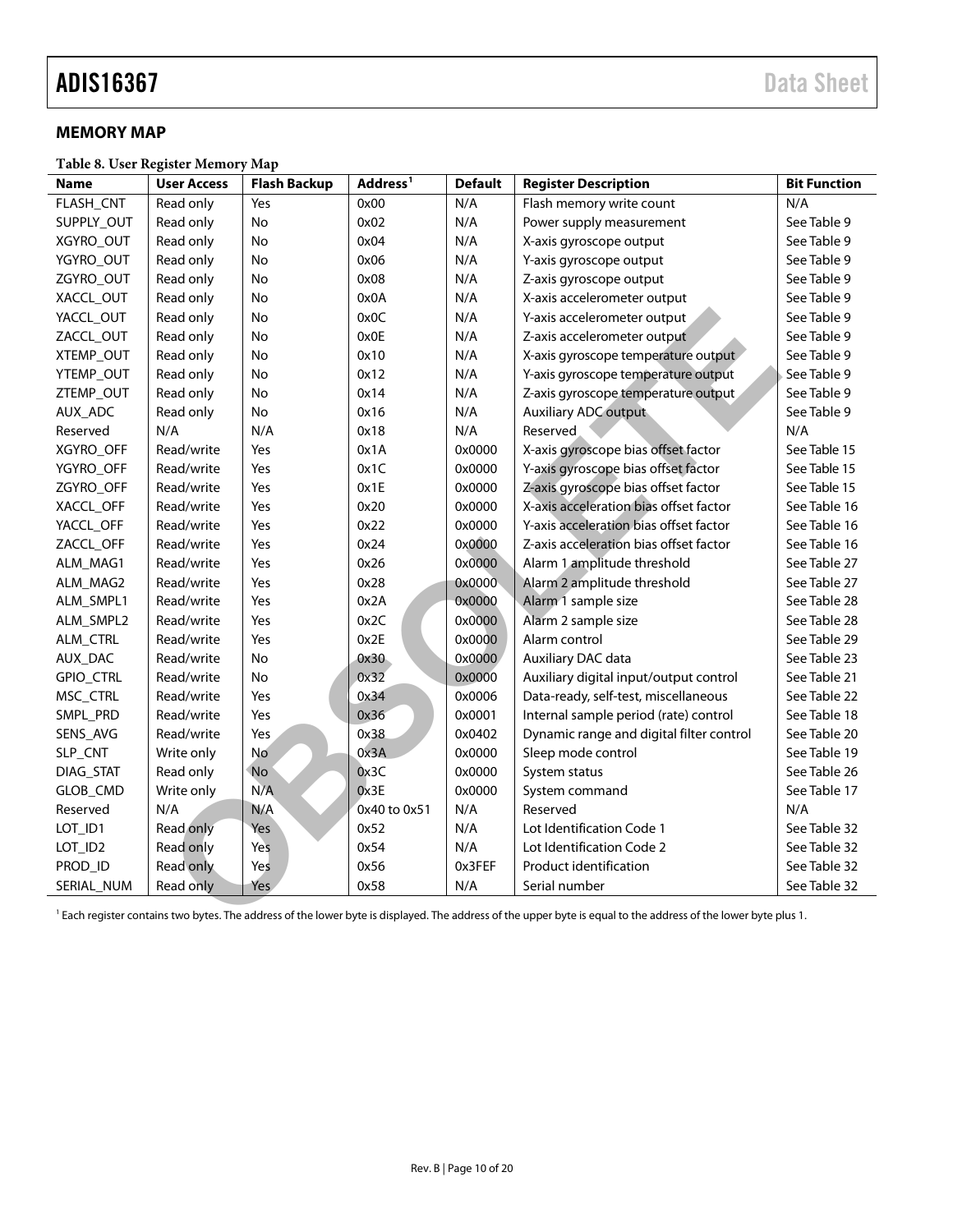#### <span id="page-9-0"></span>**MEMORY MAP**

<span id="page-9-1"></span>**Table 8. User Register Memory Map**

| <b>Name</b>      | <b>User Access</b> | <b>Flash Backup</b> | Address <sup>1</sup> | <b>Default</b> | <b>Register Description</b>                                                                                                                                                | <b>Bit Function</b> |
|------------------|--------------------|---------------------|----------------------|----------------|----------------------------------------------------------------------------------------------------------------------------------------------------------------------------|---------------------|
| FLASH_CNT        | Read only          | Yes                 | 0x00                 | N/A            | Flash memory write count                                                                                                                                                   | N/A                 |
| SUPPLY_OUT       | Read only          | No                  | 0x02                 | N/A            | Power supply measurement                                                                                                                                                   | See Table 9         |
| XGYRO_OUT        | Read only          | No                  | 0x04                 | N/A            | X-axis gyroscope output                                                                                                                                                    | See Table 9         |
| YGYRO_OUT        | Read only          | No                  | 0x06                 | N/A            | Y-axis gyroscope output                                                                                                                                                    | See Table 9         |
| ZGYRO_OUT        | Read only          | No                  | 0x08                 | N/A            | Z-axis gyroscope output                                                                                                                                                    | See Table 9         |
| XACCL_OUT        | Read only          | No                  | 0x0A                 | N/A            | X-axis accelerometer output                                                                                                                                                | See Table 9         |
| YACCL_OUT        | Read only          | No                  | 0x0C                 | N/A            | Y-axis accelerometer output                                                                                                                                                | See Table 9         |
| ZACCL_OUT        | Read only          | No                  | 0x0E                 | N/A            | Z-axis accelerometer output                                                                                                                                                | See Table 9         |
| XTEMP_OUT        | Read only          | No                  | 0x10                 | N/A            | X-axis gyroscope temperature output                                                                                                                                        | See Table 9         |
| YTEMP_OUT        | Read only          | No                  | 0x12                 | N/A            | Y-axis gyroscope temperature output                                                                                                                                        | See Table 9         |
| ZTEMP_OUT        | Read only          | No                  | 0x14                 | N/A            | Z-axis gyroscope temperature output                                                                                                                                        | See Table 9         |
| AUX_ADC          | Read only          | No                  | 0x16                 | N/A            | Auxiliary ADC output                                                                                                                                                       | See Table 9         |
| Reserved         | N/A                | N/A                 | 0x18                 | N/A            | Reserved                                                                                                                                                                   | N/A                 |
| <b>XGYRO OFF</b> | Read/write         | Yes                 | 0x1A                 | 0x0000         | X-axis gyroscope bias offset factor                                                                                                                                        | See Table 15        |
| YGYRO_OFF        | Read/write         | Yes                 | 0x1C                 | 0x0000         | Y-axis gyroscope bias offset factor                                                                                                                                        | See Table 15        |
| ZGYRO_OFF        | Read/write         | Yes                 | 0x1E                 | 0x0000         | Z-axis gyroscope bias offset factor                                                                                                                                        | See Table 15        |
| XACCL_OFF        | Read/write         | Yes                 | 0x20                 | 0x0000         | X-axis acceleration bias offset factor                                                                                                                                     | See Table 16        |
| YACCL_OFF        | Read/write         | Yes                 | 0x22                 | 0x0000         | Y-axis acceleration bias offset factor                                                                                                                                     | See Table 16        |
| ZACCL OFF        | Read/write         | Yes                 | 0x24                 | 0x0000         | Z-axis acceleration bias offset factor                                                                                                                                     | See Table 16        |
| ALM_MAG1         | Read/write         | Yes                 | 0x26                 | 0x0000         | Alarm 1 amplitude threshold                                                                                                                                                | See Table 27        |
| ALM_MAG2         | Read/write         | Yes                 | 0x28                 | 0x0000         | Alarm 2 amplitude threshold                                                                                                                                                | See Table 27        |
| ALM_SMPL1        | Read/write         | Yes                 | 0x2A                 | 0x0000         | Alarm 1 sample size                                                                                                                                                        | See Table 28        |
| ALM_SMPL2        | Read/write         | Yes                 | 0x2C                 | 0x0000         | Alarm 2 sample size                                                                                                                                                        | See Table 28        |
| ALM_CTRL         | Read/write         | Yes                 | 0x2E                 | 0x0000         | Alarm control                                                                                                                                                              | See Table 29        |
| AUX_DAC          | Read/write         | No                  | 0x30                 | 0x0000         | Auxiliary DAC data                                                                                                                                                         | See Table 23        |
| <b>GPIO_CTRL</b> | Read/write         | <b>No</b>           | 0x32                 | 0x0000         | Auxiliary digital input/output control                                                                                                                                     | See Table 21        |
| MSC_CTRL         | Read/write         | Yes                 | 0x34                 | 0x0006         | Data-ready, self-test, miscellaneous                                                                                                                                       | See Table 22        |
| SMPL_PRD         | Read/write         | Yes                 | 0x36                 | 0x0001         | Internal sample period (rate) control                                                                                                                                      | See Table 18        |
| SENS_AVG         | Read/write         | Yes                 | 0x38                 | 0x0402         | Dynamic range and digital filter control                                                                                                                                   | See Table 20        |
| SLP_CNT          | Write only         | No                  | 0x3A                 | 0x0000         | Sleep mode control                                                                                                                                                         | See Table 19        |
| DIAG_STAT        | Read only          | <b>No</b>           | 0x3C                 | 0x0000         | System status                                                                                                                                                              | See Table 26        |
| GLOB_CMD         | Write only         | N/A                 | 0x3E                 | 0x0000         | System command                                                                                                                                                             | See Table 17        |
| Reserved         | N/A                | N/A                 | 0x40 to 0x51         | N/A            | Reserved                                                                                                                                                                   | N/A                 |
| LOT_ID1          | Read only          | Yes                 | 0x52                 | N/A            | Lot Identification Code 1                                                                                                                                                  | See Table 32        |
| LOT_ID2          | Read only          | Yes                 | 0x54                 | N/A            | Lot Identification Code 2                                                                                                                                                  | See Table 32        |
| PROD_ID          | Read only          | Yes                 | 0x56                 | 0x3FEF         | <b>Product identification</b>                                                                                                                                              | See Table 32        |
| SERIAL_NUM       | Read only          | Yes                 | 0x58                 | N/A            | Serial number                                                                                                                                                              | See Table 32        |
|                  |                    |                     |                      |                | <sup>1</sup> Each register contains two bytes. The address of the lower byte is displayed. The address of the upper byte is equal to the address of the lower byte plus 1. |                     |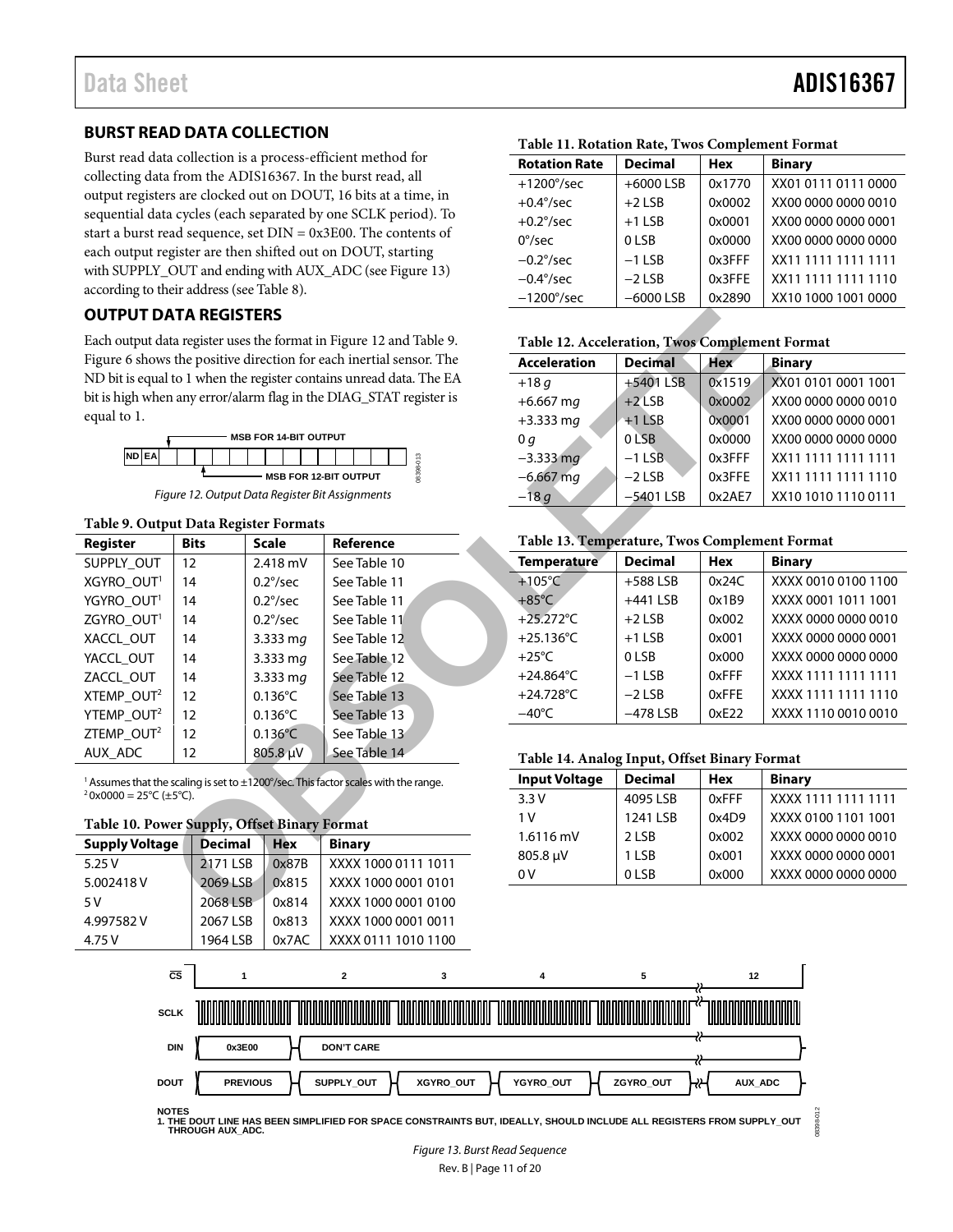### Data Sheet **ADIS16367**

#### <span id="page-10-0"></span>**BURST READ DATA COLLECTION**

Burst read data collection is a process-efficient method for collecting data from the ADIS16367. In the burst read, all output registers are clocked out on DOUT, 16 bits at a time, in sequential data cycles (each separated by one SCLK period). To start a burst read sequence, set DIN = 0x3E00. The contents of each output register are then shifted out on DOUT, starting with SUPPLY\_OUT and ending with AUX\_ADC (se[e Figure 13\)](#page-10-3) according to their address (se[e Table 8\)](#page-9-1).

#### <span id="page-10-1"></span>**OUTPUT DATA REGISTERS**



#### <span id="page-10-4"></span><span id="page-10-2"></span>**Table 9. Output Data Register Formats**

| <b>OUTPUT DATA REGISTERS</b> |                                                    |                                                                                                                                                                                                                                                          |                                                                                                                                                                                                                                                                                                                                                                                                                                                                                                                                                                                                                                                                                                                                                      |                                                                                                                                                                                                 |                                                                                                                                                  |                                                                                                                                                                                                                                     |
|------------------------------|----------------------------------------------------|----------------------------------------------------------------------------------------------------------------------------------------------------------------------------------------------------------------------------------------------------------|------------------------------------------------------------------------------------------------------------------------------------------------------------------------------------------------------------------------------------------------------------------------------------------------------------------------------------------------------------------------------------------------------------------------------------------------------------------------------------------------------------------------------------------------------------------------------------------------------------------------------------------------------------------------------------------------------------------------------------------------------|-------------------------------------------------------------------------------------------------------------------------------------------------------------------------------------------------|--------------------------------------------------------------------------------------------------------------------------------------------------|-------------------------------------------------------------------------------------------------------------------------------------------------------------------------------------------------------------------------------------|
|                              |                                                    |                                                                                                                                                                                                                                                          |                                                                                                                                                                                                                                                                                                                                                                                                                                                                                                                                                                                                                                                                                                                                                      |                                                                                                                                                                                                 |                                                                                                                                                  |                                                                                                                                                                                                                                     |
|                              |                                                    |                                                                                                                                                                                                                                                          |                                                                                                                                                                                                                                                                                                                                                                                                                                                                                                                                                                                                                                                                                                                                                      |                                                                                                                                                                                                 |                                                                                                                                                  | Bi                                                                                                                                                                                                                                  |
|                              |                                                    |                                                                                                                                                                                                                                                          |                                                                                                                                                                                                                                                                                                                                                                                                                                                                                                                                                                                                                                                                                                                                                      |                                                                                                                                                                                                 |                                                                                                                                                  | X)                                                                                                                                                                                                                                  |
|                              |                                                    |                                                                                                                                                                                                                                                          |                                                                                                                                                                                                                                                                                                                                                                                                                                                                                                                                                                                                                                                                                                                                                      |                                                                                                                                                                                                 |                                                                                                                                                  | X)                                                                                                                                                                                                                                  |
|                              |                                                    |                                                                                                                                                                                                                                                          |                                                                                                                                                                                                                                                                                                                                                                                                                                                                                                                                                                                                                                                                                                                                                      |                                                                                                                                                                                                 |                                                                                                                                                  | X)                                                                                                                                                                                                                                  |
|                              |                                                    |                                                                                                                                                                                                                                                          |                                                                                                                                                                                                                                                                                                                                                                                                                                                                                                                                                                                                                                                                                                                                                      |                                                                                                                                                                                                 |                                                                                                                                                  | X)                                                                                                                                                                                                                                  |
|                              |                                                    |                                                                                                                                                                                                                                                          |                                                                                                                                                                                                                                                                                                                                                                                                                                                                                                                                                                                                                                                                                                                                                      |                                                                                                                                                                                                 |                                                                                                                                                  | X)                                                                                                                                                                                                                                  |
|                              |                                                    |                                                                                                                                                                                                                                                          |                                                                                                                                                                                                                                                                                                                                                                                                                                                                                                                                                                                                                                                                                                                                                      |                                                                                                                                                                                                 |                                                                                                                                                  | X)                                                                                                                                                                                                                                  |
|                              |                                                    |                                                                                                                                                                                                                                                          |                                                                                                                                                                                                                                                                                                                                                                                                                                                                                                                                                                                                                                                                                                                                                      |                                                                                                                                                                                                 |                                                                                                                                                  | X)                                                                                                                                                                                                                                  |
|                              |                                                    |                                                                                                                                                                                                                                                          |                                                                                                                                                                                                                                                                                                                                                                                                                                                                                                                                                                                                                                                                                                                                                      |                                                                                                                                                                                                 |                                                                                                                                                  |                                                                                                                                                                                                                                     |
|                              |                                                    |                                                                                                                                                                                                                                                          |                                                                                                                                                                                                                                                                                                                                                                                                                                                                                                                                                                                                                                                                                                                                                      |                                                                                                                                                                                                 |                                                                                                                                                  |                                                                                                                                                                                                                                     |
|                              |                                                    | Reference                                                                                                                                                                                                                                                |                                                                                                                                                                                                                                                                                                                                                                                                                                                                                                                                                                                                                                                                                                                                                      |                                                                                                                                                                                                 |                                                                                                                                                  |                                                                                                                                                                                                                                     |
|                              |                                                    | See Table 10                                                                                                                                                                                                                                             |                                                                                                                                                                                                                                                                                                                                                                                                                                                                                                                                                                                                                                                                                                                                                      |                                                                                                                                                                                                 |                                                                                                                                                  | Bi                                                                                                                                                                                                                                  |
|                              |                                                    | See Table 11                                                                                                                                                                                                                                             |                                                                                                                                                                                                                                                                                                                                                                                                                                                                                                                                                                                                                                                                                                                                                      |                                                                                                                                                                                                 |                                                                                                                                                  | X)                                                                                                                                                                                                                                  |
|                              |                                                    | See Table 11                                                                                                                                                                                                                                             |                                                                                                                                                                                                                                                                                                                                                                                                                                                                                                                                                                                                                                                                                                                                                      | $+441$ LSB                                                                                                                                                                                      | 0x1B9                                                                                                                                            | X)                                                                                                                                                                                                                                  |
|                              |                                                    | See Table 11                                                                                                                                                                                                                                             |                                                                                                                                                                                                                                                                                                                                                                                                                                                                                                                                                                                                                                                                                                                                                      |                                                                                                                                                                                                 | 0x002                                                                                                                                            | X)                                                                                                                                                                                                                                  |
|                              |                                                    | See Table 12                                                                                                                                                                                                                                             | $+25.136^{\circ}$ C                                                                                                                                                                                                                                                                                                                                                                                                                                                                                                                                                                                                                                                                                                                                  | $+1$ LSB                                                                                                                                                                                        | 0x001                                                                                                                                            | X)                                                                                                                                                                                                                                  |
|                              |                                                    |                                                                                                                                                                                                                                                          | $+25^{\circ}$ C                                                                                                                                                                                                                                                                                                                                                                                                                                                                                                                                                                                                                                                                                                                                      | 0LSB                                                                                                                                                                                            | 0x000                                                                                                                                            | X)                                                                                                                                                                                                                                  |
|                              |                                                    | See Table 12                                                                                                                                                                                                                                             | +24.864 $^{\circ}$ C                                                                                                                                                                                                                                                                                                                                                                                                                                                                                                                                                                                                                                                                                                                                 | $-1$ LSB                                                                                                                                                                                        | 0xFFF                                                                                                                                            | X)                                                                                                                                                                                                                                  |
|                              |                                                    | See Table 13                                                                                                                                                                                                                                             | +24.728°C                                                                                                                                                                                                                                                                                                                                                                                                                                                                                                                                                                                                                                                                                                                                            | $-2$ LSB                                                                                                                                                                                        | 0xFFE                                                                                                                                            | X)                                                                                                                                                                                                                                  |
|                              |                                                    | See Table 13                                                                                                                                                                                                                                             | $-40^{\circ}$ C                                                                                                                                                                                                                                                                                                                                                                                                                                                                                                                                                                                                                                                                                                                                      | $-478$ LSB                                                                                                                                                                                      | 0xE22                                                                                                                                            | X)                                                                                                                                                                                                                                  |
|                              |                                                    | See Table 13                                                                                                                                                                                                                                             |                                                                                                                                                                                                                                                                                                                                                                                                                                                                                                                                                                                                                                                                                                                                                      |                                                                                                                                                                                                 |                                                                                                                                                  |                                                                                                                                                                                                                                     |
|                              |                                                    | See Table 14                                                                                                                                                                                                                                             |                                                                                                                                                                                                                                                                                                                                                                                                                                                                                                                                                                                                                                                                                                                                                      |                                                                                                                                                                                                 |                                                                                                                                                  |                                                                                                                                                                                                                                     |
|                              |                                                    |                                                                                                                                                                                                                                                          | <b>Input Voltage</b>                                                                                                                                                                                                                                                                                                                                                                                                                                                                                                                                                                                                                                                                                                                                 | <b>Decimal</b>                                                                                                                                                                                  | <b>Hex</b>                                                                                                                                       | Bi                                                                                                                                                                                                                                  |
|                              |                                                    |                                                                                                                                                                                                                                                          | 3.3V                                                                                                                                                                                                                                                                                                                                                                                                                                                                                                                                                                                                                                                                                                                                                 | 4095 LSB                                                                                                                                                                                        | 0xFFF                                                                                                                                            | X)                                                                                                                                                                                                                                  |
|                              |                                                    |                                                                                                                                                                                                                                                          | 1 <sub>V</sub>                                                                                                                                                                                                                                                                                                                                                                                                                                                                                                                                                                                                                                                                                                                                       | 1241 LSB                                                                                                                                                                                        | 0x4D9                                                                                                                                            | X)                                                                                                                                                                                                                                  |
|                              |                                                    |                                                                                                                                                                                                                                                          | 1.6116 mV                                                                                                                                                                                                                                                                                                                                                                                                                                                                                                                                                                                                                                                                                                                                            | 2 LSB                                                                                                                                                                                           | 0x002                                                                                                                                            | X                                                                                                                                                                                                                                   |
|                              |                                                    |                                                                                                                                                                                                                                                          | 805.8 µV                                                                                                                                                                                                                                                                                                                                                                                                                                                                                                                                                                                                                                                                                                                                             | 1 LSB                                                                                                                                                                                           | 0x001                                                                                                                                            | X)                                                                                                                                                                                                                                  |
|                              |                                                    |                                                                                                                                                                                                                                                          | 0V                                                                                                                                                                                                                                                                                                                                                                                                                                                                                                                                                                                                                                                                                                                                                   | 0LSB                                                                                                                                                                                            | 0x000                                                                                                                                            | X)                                                                                                                                                                                                                                  |
|                              |                                                    |                                                                                                                                                                                                                                                          |                                                                                                                                                                                                                                                                                                                                                                                                                                                                                                                                                                                                                                                                                                                                                      |                                                                                                                                                                                                 |                                                                                                                                                  |                                                                                                                                                                                                                                     |
| 2067 I SR                    |                                                    |                                                                                                                                                                                                                                                          |                                                                                                                                                                                                                                                                                                                                                                                                                                                                                                                                                                                                                                                                                                                                                      |                                                                                                                                                                                                 |                                                                                                                                                  |                                                                                                                                                                                                                                     |
| <b>Bits</b>                  | <b>Decimal</b><br>2171 LSB<br>2069 LSB<br>2068 LSB | <b>Scale</b><br>2.418 mV<br>$0.2^{\circ}/sec$<br>$0.2^{\circ}/sec$<br>$0.2^{\circ}/sec$<br>3.333 mg<br>3.333 mg<br>3.333 mg<br>$0.136^{\circ}$ C<br>$0.136^{\circ}$ C<br>$0.136^{\circ}$ C<br>805.8 µV<br><b>Hex</b><br>0x87B<br>0x815<br>0x814<br>0x813 | Each output data register uses the format in Figure 12 and Table 9.<br>Figure 6 shows the positive direction for each inertial sensor. The<br>ND bit is equal to 1 when the register contains unread data. The EA<br>bit is high when any error/alarm flag in the DIAG_STAT register is<br><b>MSB FOR 14-BIT OUTPUT</b><br>08398-013<br><b>MSB FOR 12-BIT OUTPUT</b><br>Figure 12. Output Data Register Bit Assignments<br>Table 9. Output Data Register Formats<br>See Table 12<br><sup>1</sup> Assumes that the scaling is set to $\pm$ 1200°/sec. This factor scales with the range.<br>Table 10. Power Supply, Offset Binary Format<br><b>Binary</b><br>XXXX 1000 0111 1011<br>XXXX 1000 0001 0101<br>XXXX 1000 0001 0100<br>XXXX 1000 0001 0011 | <b>Acceleration</b><br>$+18q$<br>$+6.667$ mg<br>$+3.333$ mg<br>0 <sub>q</sub><br>$-3.333$ mg<br>$-6,667$ mg<br>$-18g$<br><b>Temperature</b><br>$+105^{\circ}$ C<br>$+85^{\circ}$ C<br>+25.272°C | <b>Decimal</b><br>$+5401$ LSB<br>$+2$ LSB<br>$+1$ LSB<br>0LSB<br>$-1$ LSB<br>$-2$ LSB<br>$-5401$ LSB<br><b>Decimal</b><br>$+588$ LSB<br>$+2$ LSB | Table 12. Acceleration, Twos Complement<br><b>Hex</b><br>0x1519<br>0x0002<br>0x0001<br>0x0000<br>0x3FFF<br>0x3FFE<br>0x2AE7<br>Table 13. Temperature, Twos Complement<br>Hex<br>0x24C<br>Table 14. Analog Input, Offset Binary Forn |

#### <span id="page-10-5"></span>**Table 10. Power Supply, Offset Binary Format**

| <b>Supply Voltage</b> | <b>Decimal</b> | <b>Hex</b> | <b>Binary</b>       |
|-----------------------|----------------|------------|---------------------|
| 5.25V                 | 2171 LSB       | 0x87B      | XXXX 1000 0111 1011 |
| 5.002418V             | 2069 LSB       | 0x815      | XXXX 1000 0001 0101 |
| 5 V                   | 2068 LSB       | 0x814      | XXXX 1000 0001 0100 |
| 4.997582V             | 2067 LSB       | 0x813      | XXXX 1000 0001 0011 |
| 4.75 V                | 1964 LSB       | 0x7AC      | XXXX 0111 1010 1100 |

#### <span id="page-10-6"></span>**Table 11. Rotation Rate, Twos Complement Format**

| <b>Rotation Rate</b> | <b>Decimal</b> | <b>Hex</b> | <b>Binary</b>       |
|----------------------|----------------|------------|---------------------|
| $+1200^{\circ}/sec$  | $+6000$ LSB    | 0x1770     | XX01 0111 0111 0000 |
| $+0.4^{\circ}/sec$   | $+2$ LSB       | 0x0002     | XX00 0000 0000 0010 |
| $+0.2^{\circ}/sec$   | $+1$ LSB       | 0x0001     | XX00 0000 0000 0001 |
| $0^{\circ}/sec$      | 0LSB           | 0x0000     | XX00 0000 0000 0000 |
| $-0.2^{\circ}/sec$   | $-1$ LSB       | $0x3$ FFF  | XX11 1111 1111 1111 |
| $-0.4^{\circ}/sec$   | $-2$ LSB       | 0x3FFE     | XX11 1111 1111 1110 |
| $-1200^{\circ}/sec$  | $-6000$ LSB    | 0x2890     | XX10 1000 1001 0000 |

#### <span id="page-10-7"></span>**Table 12. Acceleration, Twos Complement Format**

| <b>Acceleration</b>   | <b>Decimal</b>   | <b>Hex</b> | <b>Binary</b>       |
|-----------------------|------------------|------------|---------------------|
| $+18q$                | $+5401$ LSB      | 0x1519     | XX01 0101 0001 1001 |
| $+6.667$ mg           | $+2$ LSB         | 0x0002     | XX00 0000 0000 0010 |
| $+3.333 \, \text{mg}$ | $+1$ LSB         | 0x0001     | XX00 0000 0000 0001 |
| 0 g                   | 0 <sub>LSB</sub> | 0x0000     | XX00 0000 0000 0000 |
| $-3.333$ mg           | $-1$ LSB         | 0x3FFF     | XX11 1111 1111 1111 |
| $-6,667$ mg           | $-2$ LSB         | 0x3FFE     | XX11 1111 1111 1110 |
| $-18q$                | $-5401$ LSB      | 0x2AE7     | XX10 1010 1110 0111 |

#### <span id="page-10-8"></span>**Table 13. Temperature, Twos Complement Format**

| <b>Temperature</b>   | <b>Decimal</b> | <b>Hex</b> | <b>Binary</b>       |
|----------------------|----------------|------------|---------------------|
| $+105^{\circ}$ C     | $+588$ LSB     | 0x24C      | XXXX 0010 0100 1100 |
| $+85^{\circ}$ C      | $+441$ LSB     | 0x1B9      | XXXX 0001 1011 1001 |
| +25.272 $\degree$ C  | $+2$ LSB       | 0x002      | XXXX 0000 0000 0010 |
| $+25.136^{\circ}$ C  | $+1$ LSB       | 0x001      | XXXX 0000 0000 0001 |
| $+25^{\circ}$ C      | 0LSB           | 0x000      | XXXX 0000 0000 0000 |
| +24.864 $^{\circ}$ C | $-1$ LSB       | 0xFFF      | XXXX 1111 1111 1111 |
| +24.728 $\degree$ C  | $-2$ LSB       | 0xFFE      | XXXX 1111 1111 1110 |
| $-40^{\circ}$ C      | $-478$ LSB     | 0xE22      | XXXX 1110 0010 0010 |

#### <span id="page-10-9"></span>**Table 14. Analog Input, Offset Binary Format**

| <b>Input Voltage</b> | <b>Decimal</b> | Hex   | <b>Binary</b>       |
|----------------------|----------------|-------|---------------------|
| 3.3V                 | 4095 LSB       | 0xFFF | XXXX 1111 1111 1111 |
| 1 V                  | 1241 LSB       | 0x4D9 | XXXX 0100 1101 1001 |
| $1.6116 \text{ mV}$  | 2 LSB          | 0x002 | XXXX 0000 0000 0010 |
| 805.8 µV             | 1 LSB          | 0x001 | XXXX 0000 0000 0001 |
| 0V                   | 0 LSB          | 0x000 | XXXX 0000 0000 0000 |

08398-012



<span id="page-10-3"></span>**NOTES 1. THE DOUT LINE HAS BEEN SIMPLIFIED FOR SPACE CONSTRAINTS BUT, IDEALLY, SHOULD INCLUDE ALL REGISTERS FROM SUPPLY\_OUT THROUGH AUX\_ADC.** 398-01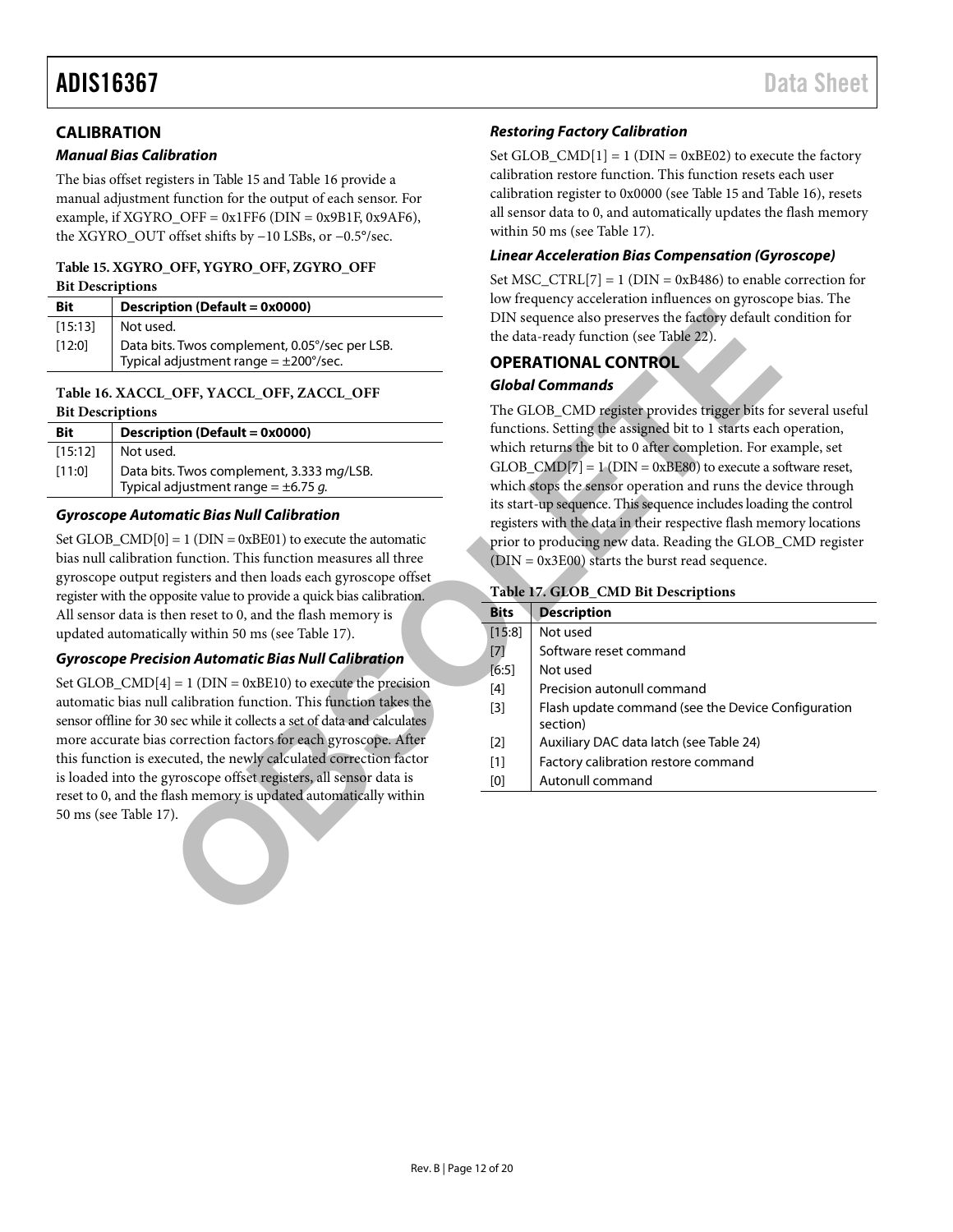#### <span id="page-11-0"></span>**CALIBRATION**

#### *Manual Bias Calibration*

The bias offset registers in [Table 15](#page-11-2) an[d Table 16](#page-11-3) provide a manual adjustment function for the output of each sensor. For example, if  $XGYRO_O$ FF = 0x1FF6 (DIN = 0x9B1F, 0x9AF6), the XGYRO\_OUT offset shifts by −10 LSBs, or −0.5°/sec.

#### <span id="page-11-2"></span>**Table 15. XGYRO\_OFF, YGYRO\_OFF, ZGYRO\_OFF Bit Descriptions**

| <b>Bit</b> | Description (Default = 0x0000)                    |
|------------|---------------------------------------------------|
| [15:13]    | Not used.                                         |
| [12:0]     | Data bits. Twos complement, 0.05°/sec per LSB.    |
|            | Typical adjustment range $= \pm 200^{\circ}/sec.$ |

#### <span id="page-11-3"></span>**Table 16. XACCL\_OFF, YACCL\_OFF, ZACCL\_OFF Bit Descriptions**

| Bit     | Description (Default = 0x0000)                                                        |
|---------|---------------------------------------------------------------------------------------|
| [15:12] | Not used.                                                                             |
| [11:0]  | Data bits. Twos complement, 3.333 mg/LSB.<br>Typical adjustment range = $\pm$ 6.75 g. |

#### *Gyroscope Automatic Bias Null Calibration*

Set GLOB\_CMD $[0] = 1$  (DIN = 0xBE01) to execute the automatic bias null calibration function. This function measures all three gyroscope output registers and then loads each gyroscope offset register with the opposite value to provide a quick bias calibration. All sensor data is then reset to 0, and the flash memory is updated automatically within 50 ms (see Table 17).

#### *Gyroscope Precision Automatic Bias Null Calibration*

Set GLOB  $\text{CMD}[4] = 1$  (DIN = 0xBE10) to execute the precision automatic bias null calibration function. This function takes the sensor offline for 30 sec while it collects a set of data and calculates more accurate bias correction factors for each gyroscope. After this function is executed, the newly calculated correction factor is loaded into the gyroscope offset registers, all sensor data is reset to 0, and the flash memory is updated automatically within 50 ms (see [Table 17\)](#page-11-4).

#### *Restoring Factory Calibration*

Set GLOB\_CMD $[1] = 1$  (DIN = 0xBE02) to execute the factory calibration restore function. This function resets each user calibration register to 0x0000 (see [Table 15](#page-11-2) an[d Table 16\)](#page-11-3), resets all sensor data to 0, and automatically updates the flash memory within 50 ms (see [Table 17\)](#page-11-4).

#### *Linear Acceleration Bias Compensation (Gyroscope)*

Set MSC\_CTRL[7] = 1 ( $DIN = 0xB486$ ) to enable correction for low frequency acceleration influences on gyroscope bias. The DIN sequence also preserves the factory default condition for the data-ready function (see Table 22).

#### <span id="page-11-1"></span>**OPERATIONAL CONTROL**

#### *Global Commands*

#### <span id="page-11-4"></span>**Table 17. GLOB\_CMD Bit Descriptions**

| xion (Default = 0x0000)                                                                                                                                                                                                                                                                                                                                                                                                                                                                                                                                                                                                                                                                                                                                                                                                                                                                |                                                                                    |                                                                                                                                                                                                                                                                                                                                                                                                                                                                                                                                                                                                                                                                                                                                                                                                                                                                                                                        |
|----------------------------------------------------------------------------------------------------------------------------------------------------------------------------------------------------------------------------------------------------------------------------------------------------------------------------------------------------------------------------------------------------------------------------------------------------------------------------------------------------------------------------------------------------------------------------------------------------------------------------------------------------------------------------------------------------------------------------------------------------------------------------------------------------------------------------------------------------------------------------------------|------------------------------------------------------------------------------------|------------------------------------------------------------------------------------------------------------------------------------------------------------------------------------------------------------------------------------------------------------------------------------------------------------------------------------------------------------------------------------------------------------------------------------------------------------------------------------------------------------------------------------------------------------------------------------------------------------------------------------------------------------------------------------------------------------------------------------------------------------------------------------------------------------------------------------------------------------------------------------------------------------------------|
| ۱d.<br>ts. Twos complement, 0.05°/sec per LSB.                                                                                                                                                                                                                                                                                                                                                                                                                                                                                                                                                                                                                                                                                                                                                                                                                                         |                                                                                    | DIN sequence also preserves the factory default condition for<br>the data-ready function (see Table 22).                                                                                                                                                                                                                                                                                                                                                                                                                                                                                                                                                                                                                                                                                                                                                                                                               |
| adjustment range = $\pm 200^{\circ}/sec$ .                                                                                                                                                                                                                                                                                                                                                                                                                                                                                                                                                                                                                                                                                                                                                                                                                                             |                                                                                    | <b>OPERATIONAL CONTROL</b>                                                                                                                                                                                                                                                                                                                                                                                                                                                                                                                                                                                                                                                                                                                                                                                                                                                                                             |
|                                                                                                                                                                                                                                                                                                                                                                                                                                                                                                                                                                                                                                                                                                                                                                                                                                                                                        |                                                                                    | <b>Global Commands</b>                                                                                                                                                                                                                                                                                                                                                                                                                                                                                                                                                                                                                                                                                                                                                                                                                                                                                                 |
| _OFF, YACCL_OFF, ZACCL_OFF<br>otion (Default = 0x0000)<br>d.<br>ts. Twos complement, 3.333 mg/LSB.<br>adjustment range = $\pm$ 6.75 g.<br>matic Bias Null Calibration<br>$] = 1$ (DIN = 0xBE01) to execute the automatic<br>in function. This function measures all three<br>registers and then loads each gyroscope offset<br>posite value to provide a quick bias calibration.<br>hen reset to 0, and the flash memory is<br>cally within 50 ms (see Table 17).<br>sion Automatic Bias Null Calibration<br>$ A  = 1$ (DIN = 0xBE10) to execute the precision<br>I calibration function. This function takes the<br>) sec while it collects a set of data and calculates<br>s correction factors for each gyroscope. After<br>ecuted, the newly calculated correction factor<br>gyroscope offset registers, all sensor data is<br>flash memory is updated automatically within<br>7). | <b>Bits</b><br>[15:8]<br>$[7]$<br>[6:5]<br>$[4]$<br>$[3]$<br>$[2]$<br>$[1]$<br>[0] | The GLOB_CMD register provides trigger bits for several useful<br>functions. Setting the assigned bit to 1 starts each operation,<br>which returns the bit to 0 after completion. For example, set<br>$GLOB\_CMD[7] = 1$ (DIN = 0xBE80) to execute a software reset,<br>which stops the sensor operation and runs the device through<br>its start-up sequence. This sequence includes loading the control<br>registers with the data in their respective flash memory locations<br>prior to producing new data. Reading the GLOB_CMD register<br>$(DIN = 0x3E00)$ starts the burst read sequence.<br>Table 17. GLOB_CMD Bit Descriptions<br><b>Description</b><br>Not used<br>Software reset command<br>Not used<br>Precision autonull command<br>Flash update command (see the Device Configuration<br>section)<br>Auxiliary DAC data latch (see Table 24)<br>Factory calibration restore command<br>Autonull command |
|                                                                                                                                                                                                                                                                                                                                                                                                                                                                                                                                                                                                                                                                                                                                                                                                                                                                                        |                                                                                    |                                                                                                                                                                                                                                                                                                                                                                                                                                                                                                                                                                                                                                                                                                                                                                                                                                                                                                                        |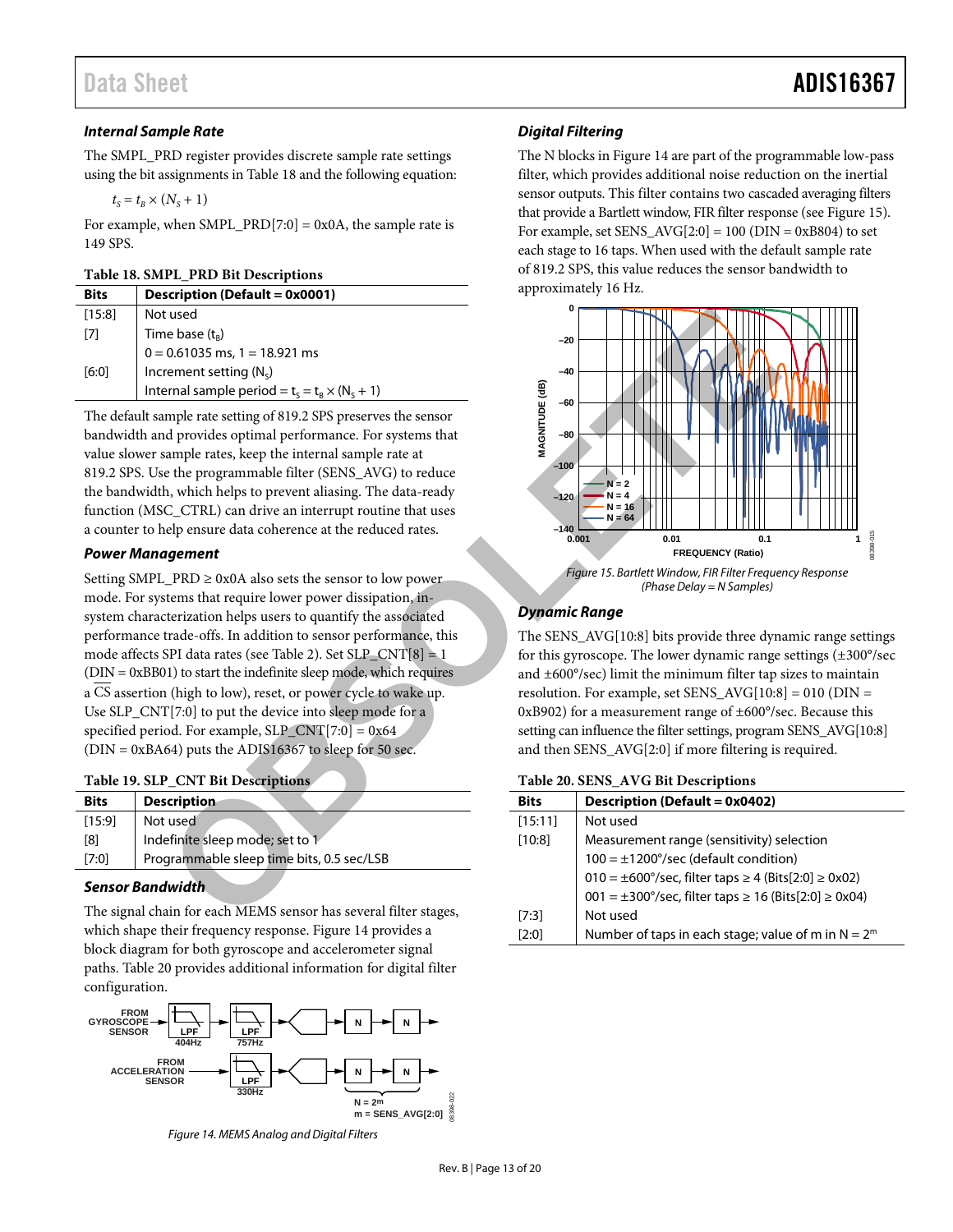#### *Internal Sample Rate*

The SMPL\_PRD register provides discrete sample rate settings using the bit assignments i[n Table 18](#page-12-0) and the following equation:

$$
t_s = t_{\scriptscriptstyle B} \times (N_s + 1)
$$

For example, when SMPL\_PRD[7:0] =  $0x0A$ , the sample rate is 149 SPS.

#### <span id="page-12-0"></span>**Table 18. SMPL\_PRD Bit Descriptions**

| <b>Bits</b> | Description (Default = 0x0001)                        |
|-------------|-------------------------------------------------------|
| [15:8]      | Not used                                              |
| $[7]$       | Time base $(t_R)$                                     |
|             | $0 = 0.61035$ ms, 1 = 18.921 ms                       |
| [6:0]       | Increment setting $(N_c)$                             |
|             | Internal sample period = $t_s = t_B \times (N_c + 1)$ |

The default sample rate setting of 819.2 SPS preserves the sensor bandwidth and provides optimal performance. For systems that value slower sample rates, keep the internal sample rate at 819.2 SPS. Use the programmable filter (SENS\_AVG) to reduce the bandwidth, which helps to prevent aliasing. The data-ready function (MSC\_CTRL) can drive an interrupt routine that uses a counter to help ensure data coherence at the reduced rates.

#### *Power Management*

Setting SMPL\_PRD  $\geq$  0x0A also sets the sensor to low power mode. For systems that require lower power dissipation, insystem characterization helps users to quantify the associated performance trade-offs. In addition to sensor performance, this mode affects SPI data rates (see Table 2). Set  $SLP_CNT[8] = 1$  $(DIN = 0xBB01)$  to start the indefinite sleep mode, which requires a CS assertion (high to low), reset, or power cycle to wake up. Use SLP\_CNT[7:0] to put the device into sleep mode for a specified period. For example,  $SLP_CNT[7:0] = 0x64$  $(DIN = 0xBA64)$  puts the ADIS16367 to sleep for 50 sec.

<span id="page-12-2"></span>

| Table 19. SLP_CNT Bit Descriptions |  |  |
|------------------------------------|--|--|
|------------------------------------|--|--|

| <b>Bits</b> | <b>Description</b>                        |
|-------------|-------------------------------------------|
| $[15:9]$    | Not used                                  |
| [8]         | Indefinite sleep mode; set to 1           |
| [7:0]       | Programmable sleep time bits, 0.5 sec/LSB |

#### *Sensor Bandwidth*

The signal chain for each MEMS sensor has several filter stages, which shape their frequency response. [Figure 14](#page-12-3) provides a block diagram for both gyroscope and accelerometer signal paths. [Table 20](#page-12-1) provides additional information for digital filter configuration.



<span id="page-12-3"></span>*Figure 14. MEMS Analog and Digital Filters*

#### *Digital Filtering*

The N blocks in [Figure 14](#page-12-3) are part of the programmable low-pass filter, which provides additional noise reduction on the inertial sensor outputs. This filter contains two cascaded averaging filters that provide a Bartlett window, FIR filter response (se[e Figure 15\)](#page-12-4). For example, set  $SENS_AVG[2:0] = 100$  ( $DIN = 0xB804$ ) to set each stage to 16 taps. When used with the default sample rate of 819.2 SPS, this value reduces the sensor bandwidth to approximately 16 Hz.



#### <span id="page-12-4"></span>*Dynamic Range*

The SENS\_AVG[10:8] bits provide three dynamic range settings for this gyroscope. The lower dynamic range settings (±300°/sec and ±600°/sec) limit the minimum filter tap sizes to maintain resolution. For example, set SENS\_AVG[10:8] = 010 (DIN = 0xB902) for a measurement range of ±600°/sec. Because this setting can influence the filter settings, program SENS\_AVG[10:8] and then SENS\_AVG[2:0] if more filtering is required.

#### <span id="page-12-1"></span>**Table 20. SENS\_AVG Bit Descriptions**

| <b>Bits</b> | Description (Default = 0x0402)                                                     |
|-------------|------------------------------------------------------------------------------------|
| [15:11]     | Not used                                                                           |
| [10:8]      | Measurement range (sensitivity) selection                                          |
|             | $100 = \pm 1200^{\circ}/sec$ (default condition)                                   |
|             | $010 = \pm 600^{\circ}/sec$ , filter taps $\geq 4$ (Bits[2:0] $\geq 0 \times 02$ ) |
|             | $001 = \pm 300^{\circ}/sec$ , filter taps $\geq 16$ (Bits[2:0] $\geq 0x04$ )       |
| [7:3]       | Not used                                                                           |
| [2:0]       | Number of taps in each stage; value of m in $N = 2^m$                              |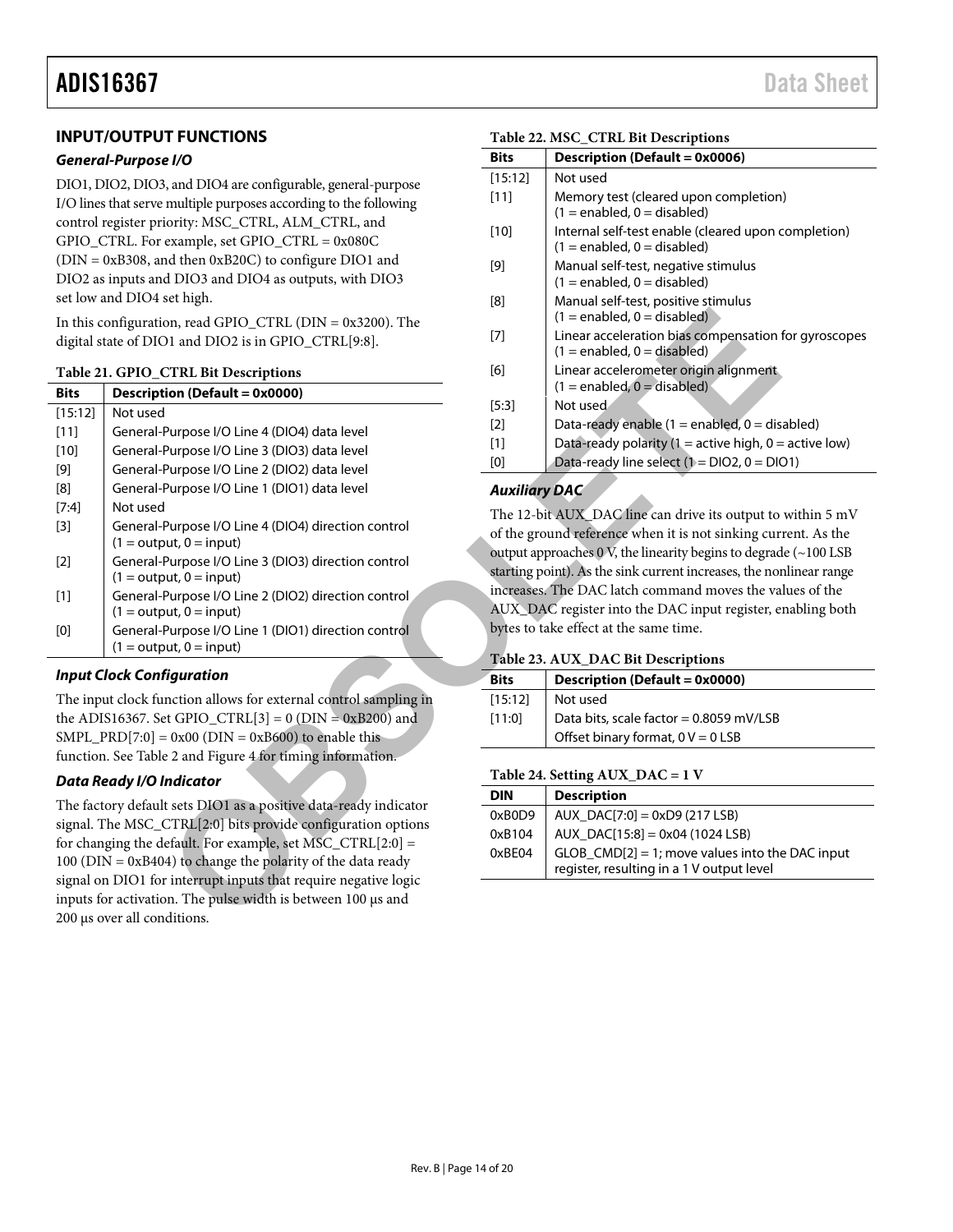#### <span id="page-13-0"></span>**INPUT/OUTPUT FUNCTIONS**

#### *General-Purpose I/O*

DIO1, DIO2, DIO3, and DIO4 are configurable, general-purpose I/O lines that serve multiple purposes according to the following control register priority: MSC\_CTRL, ALM\_CTRL, and GPIO\_CTRL. For example, set GPIO\_CTRL = 0x080C (DIN = 0xB308, and then 0xB20C) to configure DIO1 and DIO2 as inputs and DIO3 and DIO4 as outputs, with DIO3 set low and DIO4 set high.

<span id="page-13-2"></span>

|                                                                                                                                                                                                                                                                                                                                                                                                                                                                                                                                                                                                                                                                                                                                                       | In this configuration, read GPIO_CTRL ( $DIN = 0x3200$ ). The                               |                                                                                                                  | $(1 = enabled, 0 = disabled)$                                          |  |
|-------------------------------------------------------------------------------------------------------------------------------------------------------------------------------------------------------------------------------------------------------------------------------------------------------------------------------------------------------------------------------------------------------------------------------------------------------------------------------------------------------------------------------------------------------------------------------------------------------------------------------------------------------------------------------------------------------------------------------------------------------|---------------------------------------------------------------------------------------------|------------------------------------------------------------------------------------------------------------------|------------------------------------------------------------------------|--|
| digital state of DIO1 and DIO2 is in GPIO_CTRL[9:8].                                                                                                                                                                                                                                                                                                                                                                                                                                                                                                                                                                                                                                                                                                  |                                                                                             | $[7]$                                                                                                            | Linear acceleration bias compensation<br>$(1 = enabled, 0 = disabled)$ |  |
|                                                                                                                                                                                                                                                                                                                                                                                                                                                                                                                                                                                                                                                                                                                                                       | Table 21. GPIO_CTRL Bit Descriptions                                                        | [6]                                                                                                              | Linear accelerometer origin alignment                                  |  |
| <b>Bits</b>                                                                                                                                                                                                                                                                                                                                                                                                                                                                                                                                                                                                                                                                                                                                           | <b>Description (Default = 0x0000)</b>                                                       |                                                                                                                  | $(1 = enabled, 0 = disabled)$                                          |  |
| [15:12]                                                                                                                                                                                                                                                                                                                                                                                                                                                                                                                                                                                                                                                                                                                                               | Not used                                                                                    | [5:3]                                                                                                            | Not used                                                               |  |
| $[11]$                                                                                                                                                                                                                                                                                                                                                                                                                                                                                                                                                                                                                                                                                                                                                | General-Purpose I/O Line 4 (DIO4) data level                                                | $[2]$                                                                                                            | Data-ready enable (1 = enabled, $0 =$ dis                              |  |
| $[10]$                                                                                                                                                                                                                                                                                                                                                                                                                                                                                                                                                                                                                                                                                                                                                | General-Purpose I/O Line 3 (DIO3) data level                                                | $[1]$                                                                                                            | Data-ready polarity (1 = active high, 0 =                              |  |
| $[9] % \begin{center} \includegraphics[width=\linewidth]{imagesSupplemental/Implemental.png} \end{center} % \vspace{-1em} \caption{The image shows the number of parameters of the estimators in the left and right.} \label{fig:limsub} %$                                                                                                                                                                                                                                                                                                                                                                                                                                                                                                           | General-Purpose I/O Line 2 (DIO2) data level                                                | Data-ready line select $(1 = DIO2, 0 = DIO$<br>[0]                                                               |                                                                        |  |
| [8]                                                                                                                                                                                                                                                                                                                                                                                                                                                                                                                                                                                                                                                                                                                                                   | General-Purpose I/O Line 1 (DIO1) data level                                                | <b>Auxiliary DAC</b>                                                                                             |                                                                        |  |
| [7:4]                                                                                                                                                                                                                                                                                                                                                                                                                                                                                                                                                                                                                                                                                                                                                 | Not used                                                                                    |                                                                                                                  |                                                                        |  |
| $[3]$                                                                                                                                                                                                                                                                                                                                                                                                                                                                                                                                                                                                                                                                                                                                                 | General-Purpose I/O Line 4 (DIO4) direction control<br>$(1 = output, 0 = input)$            | The 12-bit AUX_DAC line can drive its output to<br>of the ground reference when it is not sinking cur            |                                                                        |  |
| $[2]$                                                                                                                                                                                                                                                                                                                                                                                                                                                                                                                                                                                                                                                                                                                                                 | General-Purpose I/O Line 3 (DIO3) direction control<br>$(1 = output, 0 = input)$            | output approaches 0 V, the linearity begins to degrad<br>starting point). As the sink current increases, the nor |                                                                        |  |
| $[1]$                                                                                                                                                                                                                                                                                                                                                                                                                                                                                                                                                                                                                                                                                                                                                 | General-Purpose I/O Line 2 (DIO2) direction control<br>$(1 = output, 0 = input)$            | increases. The DAC latch command moves the va<br>AUX_DAC register into the DAC input register, e                 |                                                                        |  |
| $[0] % \begin{center} % \includegraphics[width=\linewidth]{imagesSupplemental_3.png} % \end{center} % \caption { % Our method is used for the method. % Note that the \emph{exponent} is used for the method. % Note that the \emph{exponent} is used for the method. % Note that the \emph{exponent} is used for the method. % Note that the \emph{exponent} is used for the method. % Note that the \emph{exponent} is used for the method. % Note that the \emph{exportector} is used for the method. % Note that the \emph{exportector} is used for the method. % Note that the \emph{exportector} is used for the method. % Note that the \emph{exportector} is used for the method. % Note that the \emph{exportector} is used for the method.$ | General-Purpose I/O Line 1 (DIO1) direction control<br>$(1 = output, 0 = input)$            |                                                                                                                  | bytes to take effect at the same time.                                 |  |
|                                                                                                                                                                                                                                                                                                                                                                                                                                                                                                                                                                                                                                                                                                                                                       | <b>Input Clock Configuration</b>                                                            |                                                                                                                  | Table 23. AUX_DAC Bit Descriptions                                     |  |
|                                                                                                                                                                                                                                                                                                                                                                                                                                                                                                                                                                                                                                                                                                                                                       |                                                                                             | <b>Bits</b>                                                                                                      | <b>Description (Default = 0x0000)</b>                                  |  |
|                                                                                                                                                                                                                                                                                                                                                                                                                                                                                                                                                                                                                                                                                                                                                       | The input clock function allows for external control sampling in                            | [15:12]                                                                                                          | Not used                                                               |  |
|                                                                                                                                                                                                                                                                                                                                                                                                                                                                                                                                                                                                                                                                                                                                                       | the ADIS16367. Set GPIO_CTRL[3] = $0$ (DIN = 0xB200) and                                    | [11:0]                                                                                                           | Data bits, scale factor = 0.8059 mV/LSB                                |  |
|                                                                                                                                                                                                                                                                                                                                                                                                                                                                                                                                                                                                                                                                                                                                                       | SMPL_PRD[7:0] = $0x00$ (DIN = $0xB600$ ) to enable this                                     |                                                                                                                  | Offset binary format, $0 V = 0$ LSB                                    |  |
|                                                                                                                                                                                                                                                                                                                                                                                                                                                                                                                                                                                                                                                                                                                                                       | function. See Table 2 and Figure 4 for timing information.                                  |                                                                                                                  |                                                                        |  |
|                                                                                                                                                                                                                                                                                                                                                                                                                                                                                                                                                                                                                                                                                                                                                       | <b>Data Ready I/O Indicator</b>                                                             |                                                                                                                  | Table 24. Setting AUX_DAC = 1 V                                        |  |
|                                                                                                                                                                                                                                                                                                                                                                                                                                                                                                                                                                                                                                                                                                                                                       | The factory default sets DIO1 as a positive data-ready indicator                            | <b>DIN</b>                                                                                                       | <b>Description</b>                                                     |  |
|                                                                                                                                                                                                                                                                                                                                                                                                                                                                                                                                                                                                                                                                                                                                                       | signal. The MSC_CTRL[2:0] bits provide configuration options                                | 0xB0D9                                                                                                           | $AUX\_DAC[7:0] = 0xD9 (217 LSB)$                                       |  |
|                                                                                                                                                                                                                                                                                                                                                                                                                                                                                                                                                                                                                                                                                                                                                       | for changing the default. For example, set MSC_CTRL[2:0] =                                  | 0xB104                                                                                                           | AUX_DAC[15:8] = 0x04 (1024 LSB)                                        |  |
|                                                                                                                                                                                                                                                                                                                                                                                                                                                                                                                                                                                                                                                                                                                                                       | $100$ (DIN = 0xB404) to change the polarity of the data ready                               | 0xBE04                                                                                                           | $GLOB$ $CMD[2] = 1$ ; move values into the                             |  |
|                                                                                                                                                                                                                                                                                                                                                                                                                                                                                                                                                                                                                                                                                                                                                       |                                                                                             |                                                                                                                  | register, resulting in a 1 V output level                              |  |
|                                                                                                                                                                                                                                                                                                                                                                                                                                                                                                                                                                                                                                                                                                                                                       |                                                                                             |                                                                                                                  |                                                                        |  |
|                                                                                                                                                                                                                                                                                                                                                                                                                                                                                                                                                                                                                                                                                                                                                       | signal on DIO1 for interrupt inputs that require negative logic                             |                                                                                                                  |                                                                        |  |
|                                                                                                                                                                                                                                                                                                                                                                                                                                                                                                                                                                                                                                                                                                                                                       | inputs for activation. The pulse width is between 100 us and<br>200 μs over all conditions. |                                                                                                                  |                                                                        |  |

#### *Input Clock Configuration*

#### *Data Ready I/O Indicator*

#### <span id="page-13-3"></span>**Table 22. MSC\_CTRL Bit Descriptions**

| <b>Bits</b> | Description (Default = 0x0006)                                                          |
|-------------|-----------------------------------------------------------------------------------------|
| [15:12]     | Not used                                                                                |
| $[11]$      | Memory test (cleared upon completion)<br>$(1 =$ enabled, $0 =$ disabled)                |
| [10]        | Internal self-test enable (cleared upon completion)<br>$(1 =$ enabled, $0 =$ disabled)  |
| [9]         | Manual self-test, negative stimulus<br>$(1 =$ enabled, 0 = disabled)                    |
| [8]         | Manual self-test, positive stimulus<br>$(1 =$ enabled, $0 =$ disabled)                  |
| [7]         | Linear acceleration bias compensation for gyroscopes<br>$(1 =$ enabled, $0 =$ disabled) |
| [6]         | Linear accelerometer origin alignment<br>$(1 =$ enabled, $0 =$ disabled)                |
| [5:3]       | Not used.                                                                               |
| [2]         | Data-ready enable $(1 =$ enabled, $0 =$ disabled)                                       |
| [1]         | Data-ready polarity (1 = active high, 0 = active low)                                   |
| [0]         | Data-ready line select $(1 = DIO2, 0 = DIO1)$                                           |

#### *Auxiliary DAC*

The 12-bit AUX\_DAC line can drive its output to within 5 mV of the ground reference when it is not sinking current. As the output approaches 0 V, the linearity begins to degrade (~100 LSB starting point). As the sink current increases, the nonlinear range increases. The DAC latch command moves the values of the AUX\_DAC register into the DAC input register, enabling both bytes to take effect at the same time.

#### <span id="page-13-1"></span>**Table 23. AUX\_DAC Bit Descriptions**

| <b>Bits</b> | Description (Default = 0x0000)          |
|-------------|-----------------------------------------|
| [15:12]     | Not used                                |
| [11:0]      | Data bits, scale factor = 0.8059 mV/LSB |
|             | Offset binary format, $0 V = 0$ LSB     |

#### <span id="page-13-4"></span>**Table 24. Setting AUX\_DAC = 1 V**

| <b>DIN</b> | <b>Description</b>                                                                              |
|------------|-------------------------------------------------------------------------------------------------|
| 0xB0D9     | $AUX$ $DAC[7:0] = 0xD9 (217 LSB)$                                                               |
| 0xB104     | AUX_DAC[15:8] = 0x04 (1024 LSB)                                                                 |
| 0xBE04     | $GLOB_CMD[2] = 1$ ; move values into the DAC input<br>register, resulting in a 1 V output level |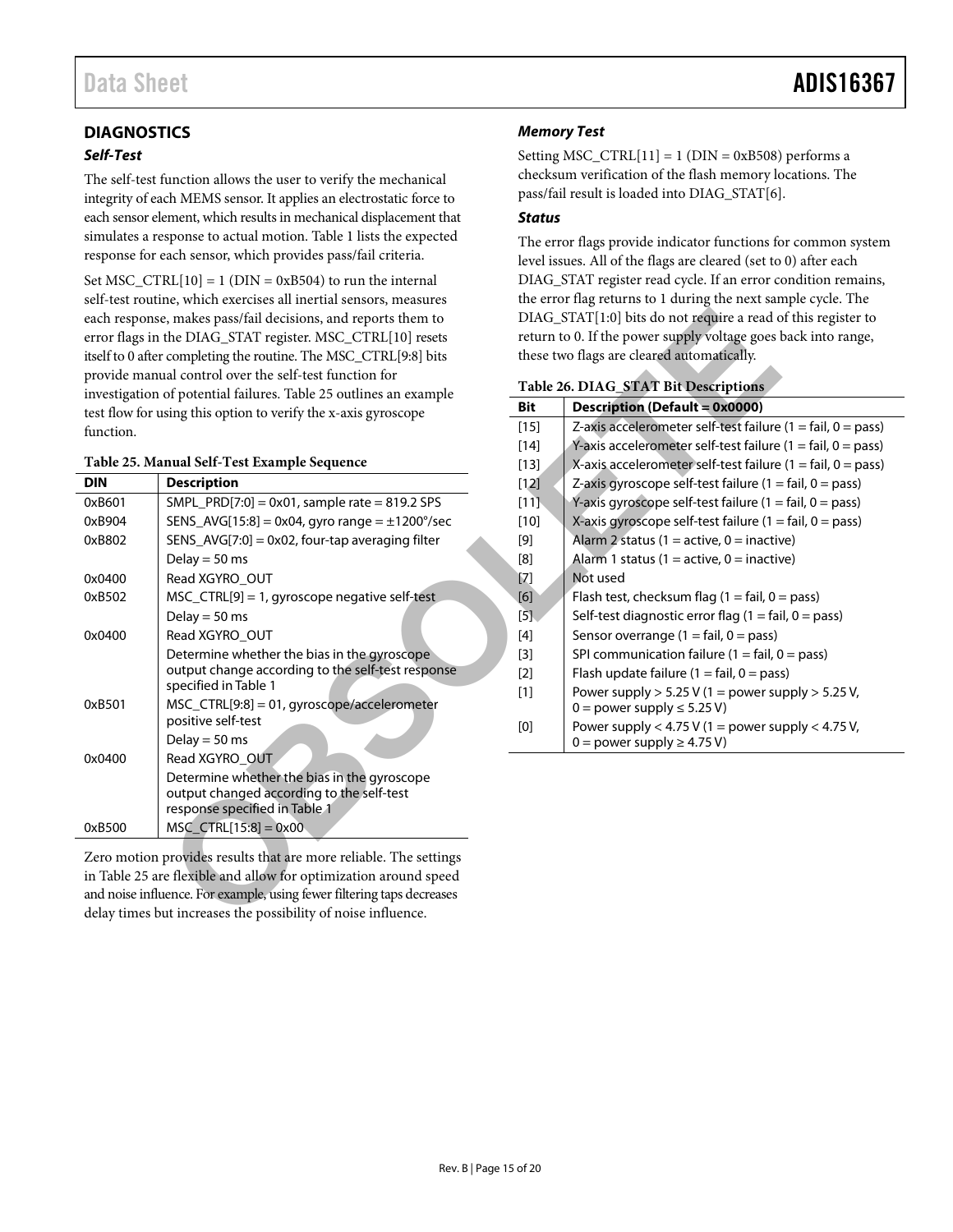### <span id="page-14-0"></span>**DIAGNOSTICS**

#### *Self-Test*

The self-test function allows the user to verify the mechanical integrity of each MEMS sensor. It applies an electrostatic force to each sensor element, which results in mechanical displacement that simulates a response to actual motion[. Table 1 l](#page-2-1)ists the expected response for each sensor, which provides pass/fail criteria.

Set MSC\_CTRL $[10] = 1$  (DIN = 0xB504) to run the internal self-test routine, which exercises all inertial sensors, measures each response, makes pass/fail decisions, and reports them to error flags in the DIAG\_STAT register. MSC\_CTRL[10] resets itself to 0 after completing the routine. The MSC\_CTRL[9:8] bits provide manual control over the self-test function for investigation of potential failures. Table 25 outlines an example test flow for using this option to verify the x-axis gyroscope function.

#### <span id="page-14-2"></span>**Table 25. Manual Self-Test Example Sequence**

|            | each response, makes pass/fail decisions, and reports them to<br>error flags in the DIAG_STAT register. MSC_CTRL[10] resets<br>itself to 0 after completing the routine. The MSC_CTRL[9:8] bits<br>provide manual control over the self-test function for                        |            | DIAG_STAT[1:0] bits do not require a read of<br>return to 0. If the power supply voltage goes l<br>these two flags are cleared automatically.<br>Table 26. DIAG_STAT Bit Descriptions |
|------------|----------------------------------------------------------------------------------------------------------------------------------------------------------------------------------------------------------------------------------------------------------------------------------|------------|---------------------------------------------------------------------------------------------------------------------------------------------------------------------------------------|
|            | investigation of potential failures. Table 25 outlines an example                                                                                                                                                                                                                | <b>Bit</b> | <b>Description (Default = 0x0000)</b>                                                                                                                                                 |
| function.  | test flow for using this option to verify the x-axis gyroscope                                                                                                                                                                                                                   | $[15]$     | Z-axis accelerometer self-test failure                                                                                                                                                |
|            |                                                                                                                                                                                                                                                                                  | $[14]$     | Y-axis accelerometer self-test failure                                                                                                                                                |
|            | Table 25. Manual Self-Test Example Sequence                                                                                                                                                                                                                                      | $[13]$     | X-axis accelerometer self-test failure                                                                                                                                                |
| <b>DIN</b> | <b>Description</b>                                                                                                                                                                                                                                                               | $[12]$     | Z-axis gyroscope self-test failure $(1 =$                                                                                                                                             |
| 0xB601     | $SMPL_PRD[7:0] = 0x01$ , sample rate = 819.2 SPS                                                                                                                                                                                                                                 | $[11]$     | Y-axis gyroscope self-test failure $(1 =$                                                                                                                                             |
| 0xB904     | SENS_AVG[15:8] = 0x04, gyro range = $\pm$ 1200°/sec                                                                                                                                                                                                                              | $[10]$     | X-axis gyroscope self-test failure (1 =                                                                                                                                               |
| 0xB802     | $SENS_AVG[7:0] = 0x02$ , four-tap averaging filter                                                                                                                                                                                                                               | $[9]$      | Alarm 2 status (1 = active, 0 = inactiv                                                                                                                                               |
|            | Delay = $50$ ms                                                                                                                                                                                                                                                                  | [8]        | Alarm 1 status (1 = active, 0 = inactiv                                                                                                                                               |
| 0x0400     | Read XGYRO_OUT                                                                                                                                                                                                                                                                   | $[7]$      | Not used                                                                                                                                                                              |
| 0xB502     | MSC_CTRL[9] = 1, gyroscope negative self-test                                                                                                                                                                                                                                    | [6]        | Flash test, checksum flag $(1 = \text{fail}, 0 = \text{fail})$                                                                                                                        |
|            | Delay = $50$ ms                                                                                                                                                                                                                                                                  | $[5]$      | Self-test diagnostic error flag (1 = fai                                                                                                                                              |
| 0x0400     | Read XGYRO_OUT                                                                                                                                                                                                                                                                   | $[4]$      | Sensor overrange $(1 = \text{fail}, 0 = \text{pass})$                                                                                                                                 |
|            | Determine whether the bias in the gyroscope                                                                                                                                                                                                                                      | $[3]$      | SPI communication failure (1 = fail, 0                                                                                                                                                |
|            | output change according to the self-test response                                                                                                                                                                                                                                | $[2]$      | Flash update failure (1 = fail, 0 = pass                                                                                                                                              |
|            | specified in Table 1                                                                                                                                                                                                                                                             | $[1]$      | Power supply $> 5.25$ V (1 = power su                                                                                                                                                 |
| 0xB501     | MSC_CTRL[9:8] = 01, gyroscope/accelerometer                                                                                                                                                                                                                                      |            | $0 = power supply \le 5.25 V$                                                                                                                                                         |
|            | positive self-test<br>Delay = $50$ ms                                                                                                                                                                                                                                            | [0]        | Power supply < $4.75$ V (1 = power su                                                                                                                                                 |
| 0x0400     | Read XGYRO OUT                                                                                                                                                                                                                                                                   |            | $0 = power supply \ge 4.75 V$                                                                                                                                                         |
|            | Determine whether the bias in the gyroscope                                                                                                                                                                                                                                      |            |                                                                                                                                                                                       |
|            | output changed according to the self-test                                                                                                                                                                                                                                        |            |                                                                                                                                                                                       |
|            | response specified in Table 1                                                                                                                                                                                                                                                    |            |                                                                                                                                                                                       |
| 0xB500     | $MSC_CTRL[15:8] = 0x00$                                                                                                                                                                                                                                                          |            |                                                                                                                                                                                       |
|            | Zero motion provides results that are more reliable. The settings<br>in Table 25 are flexible and allow for optimization around speed<br>and noise influence. For example, using fewer filtering taps decreases<br>delay times but increases the possibility of noise influence. |            |                                                                                                                                                                                       |

#### *Memory Test*

Setting MSC\_CTRL $[11] = 1$  (DIN = 0xB508) performs a checksum verification of the flash memory locations. The pass/fail result is loaded into DIAG\_STAT[6].

#### *Status*

The error flags provide indicator functions for common system level issues. All of the flags are cleared (set to 0) after each DIAG\_STAT register read cycle. If an error condition remains, the error flag returns to 1 during the next sample cycle. The DIAG\_STAT[1:0] bits do not require a read of this register to return to 0. If the power supply voltage goes back into range, these two flags are cleared automatically.

<span id="page-14-1"></span>

| Table 26. DIAG_STAT Bit Descriptions |  |  |  |  |  |
|--------------------------------------|--|--|--|--|--|
|--------------------------------------|--|--|--|--|--|

| Bit    | Description (Default = 0x0000)                                              |
|--------|-----------------------------------------------------------------------------|
| $[15]$ | Z-axis accelerometer self-test failure $(1 = \text{fail}, 0 = \text{pass})$ |
| $[14]$ | Y-axis accelerometer self-test failure (1 = fail, 0 = pass)                 |
| $[13]$ | X-axis accelerometer self-test failure $(1 = \text{fail}, 0 = \text{pass})$ |
| $[12]$ | Z-axis gyroscope self-test failure $(1 = \text{fail}, 0 = \text{pass})$     |
| [11]   | Y-axis gyroscope self-test failure $(1 = \text{fail}, 0 = \text{pass})$     |
| $[10]$ | X-axis gyroscope self-test failure $(1 = \text{fail}, 0 = \text{pass})$     |
| [9]    | Alarm 2 status (1 = active, 0 = inactive)                                   |
| [8]    | Alarm 1 status (1 = active, 0 = inactive)                                   |
| [7]    | Not used                                                                    |
| [6]    | Flash test, checksum flag $(1 = \text{fail}, 0 = \text{pass})$              |
| $[5]$  | Self-test diagnostic error flag $(1 = \text{fail}, 0 = \text{pass})$        |
| $[4]$  | Sensor overrange $(1 = \text{fail}, 0 = \text{pass})$                       |
| $[3]$  | SPI communication failure $(1 = \text{fail}, 0 = \text{pass})$              |
| $[2]$  | Flash update failure $(1 = \text{fail}, 0 = \text{pass})$                   |
| $[1]$  | Power supply $> 5.25$ V (1 = power supply $> 5.25$ V,                       |
|        | $0 = power supply \le 5.25 V$ )                                             |
| [0]    | Power supply $<$ 4.75 V (1 = power supply $<$ 4.75 V,                       |
|        | $0 =$ power supply $\geq 4.75$ V)                                           |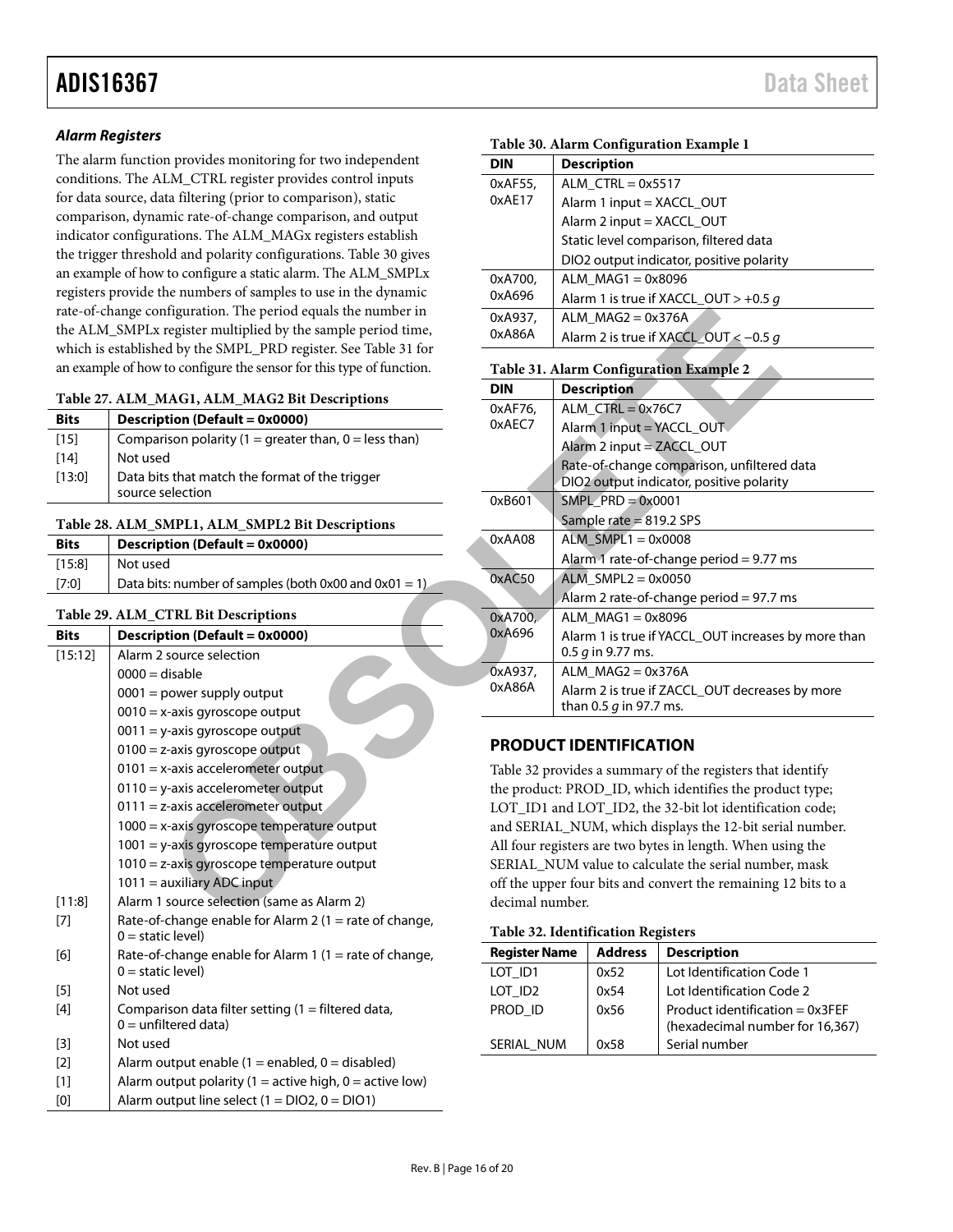#### *Alarm Registers*

The alarm function provides monitoring for two independent conditions. The ALM\_CTRL register provides control inputs for data source, data filtering (prior to comparison), static comparison, dynamic rate-of-change comparison, and output indicator configurations. The ALM\_MAGx registers establish the trigger threshold and polarity configurations. [Table 30](#page-15-5) gives an example of how to configure a static alarm. The ALM\_SMPLx registers provide the numbers of samples to use in the dynamic rate-of-change configuration. The period equals the number in the ALM\_SMPLx register multiplied by the sample period time, which is established by the SMPL\_PRD register. See Table 31 for an example of how to configure the sensor for this type of function.

<span id="page-15-1"></span>

| Table 27. ALM_MAG1, ALM_MAG2 Bit Descriptions |  |
|-----------------------------------------------|--|
|-----------------------------------------------|--|

| <b>Bits</b> | <b>Description (Default = 0x0000)</b>                              |
|-------------|--------------------------------------------------------------------|
| $[15]$      | Comparison polarity (1 = greater than, 0 = less than)              |
| [14]        | Not used                                                           |
| [13:0]      | Data bits that match the format of the trigger<br>source selection |

#### <span id="page-15-2"></span>**Table 28. ALM\_SMPL1, ALM\_SMPL2 Bit Descriptions**

| <b>Bits</b> | Description (Default = 0x0000)                        |
|-------------|-------------------------------------------------------|
| [15:8]      | Not used                                              |
| [7:0]       | Data bits: number of samples (both 0x00 and 0x01 = 1) |

#### <span id="page-15-3"></span>**Table 29. ALM\_CTRL Bit Descriptions**

| <b>Bits</b>       | Description (Default = 0x0000)                                                 |
|-------------------|--------------------------------------------------------------------------------|
| [15:12]           | Alarm 2 source selection                                                       |
|                   | $0000 =$ disable                                                               |
|                   | $0001$ = power supply output                                                   |
|                   | $0010 = x$ -axis gyroscope output                                              |
|                   | $0011 = y$ -axis gyroscope output                                              |
|                   | $0100 = z$ -axis gyroscope output                                              |
|                   | $0101 = x$ -axis accelerometer output                                          |
|                   | $0110 = y$ -axis accelerometer output                                          |
|                   | $0111 = z$ -axis accelerometer output                                          |
|                   | 1000 = x-axis gyroscope temperature output                                     |
|                   | $1001 = y$ -axis gyroscope temperature output                                  |
|                   | $1010$ = z-axis gyroscope temperature output                                   |
|                   | $1011 =$ auxiliary ADC input                                                   |
| [11:8]            | Alarm 1 source selection (same as Alarm 2)                                     |
| [7]               | Rate-of-change enable for Alarm 2 (1 = rate of change,<br>$0 =$ static level)  |
| [6]               | Rate-of-change enable for Alarm 1 (1 = rate of change,<br>$0 =$ static level)  |
| [5]               | Not used                                                                       |
| [4]               | Comparison data filter setting $(1 =$ filtered data,<br>$0 =$ unfiltered data) |
| $\lceil 3 \rceil$ | Not used                                                                       |
| [2]               | Alarm output enable $(1 =$ enabled, $0 =$ disabled)                            |
| [1]               | Alarm output polarity (1 = active high, $0 =$ active low)                      |
| [0]               | Alarm output line select $(1 = DIO2, 0 = DIO1)$                                |

<span id="page-15-6"></span><span id="page-15-5"></span>

|                                                     | Table 30. Alarm Configuration Example 1                    |                                                                |  |  |
|-----------------------------------------------------|------------------------------------------------------------|----------------------------------------------------------------|--|--|
| n provides monitoring for two independent           | <b>DIN</b>                                                 | <b>Description</b>                                             |  |  |
| LM_CTRL register provides control inputs            | 0xAF55,                                                    | $ALM_CTRL = 0x5517$                                            |  |  |
| ta filtering (prior to comparison), static          | 0xAE17                                                     | Alarm 1 input = XACCL_OUT                                      |  |  |
| mic rate-of-change comparison, and output           |                                                            | Alarm 2 input = XACCL_OUT                                      |  |  |
| ations. The ALM_MAGx registers establish            |                                                            | Static level comparison, filtered data                         |  |  |
| old and polarity configurations. Table 30 gives     |                                                            | DIO2 output indicator, positive polarity                       |  |  |
| to configure a static alarm. The ALM_SMPLx          | 0xA700,                                                    | $ALM$ MAG1 = 0x8096                                            |  |  |
| he numbers of samples to use in the dynamic         | 0xA696                                                     | Alarm 1 is true if XACCL_OUT > +0.5 g                          |  |  |
| ifiguration. The period equals the number in        | 0xA937,                                                    | ALM $MAG2 = 0x376A$                                            |  |  |
| register multiplied by the sample period time,      | 0xA86A                                                     | Alarm 2 is true if XACCL_OUT < -0.5 g                          |  |  |
| d by the SMPL_PRD register. See Table 31 for        |                                                            |                                                                |  |  |
| to configure the sensor for this type of function.  |                                                            | Table 31. Alarm Configuration Example 2                        |  |  |
| IAG1, ALM_MAG2 Bit Descriptions                     | <b>DIN</b>                                                 | <b>Description</b>                                             |  |  |
| tion (Default = 0x0000)                             | 0xAF76,                                                    | $ALM_CTRL = 0x76C7$                                            |  |  |
|                                                     | 0xAEC7                                                     | Alarm 1 input = YACCL_OUT                                      |  |  |
| ison polarity $(1 =$ greater than, $0 =$ less than) |                                                            | Alarm 2 input = ZACCL_OUT                                      |  |  |
| d                                                   |                                                            | Rate-of-change comparison, unfiltered data                     |  |  |
| s that match the format of the trigger<br>election  |                                                            | DIO2 output indicator, positive polarity                       |  |  |
|                                                     | 0xB601                                                     | $SMPL\_PRD = 0x0001$                                           |  |  |
| <b>MPL1, ALM_SMPL2 Bit Descriptions</b>             |                                                            | Sample rate $= 819.2$ SPS                                      |  |  |
| tion (Default = 0x0000)                             | 0xAA08                                                     | $ALM$ _SMPL1 = 0x0008                                          |  |  |
| P.                                                  |                                                            | Alarm 1 rate-of-change period = 9.77 ms                        |  |  |
| s: number of samples (both $0x00$ and $0x01 = 1$ )  | 0xAC50                                                     | $ALM$ _SMPL2 = 0x0050                                          |  |  |
|                                                     |                                                            | Alarm 2 rate-of-change period = $97.7$ ms                      |  |  |
| <b>TRL Bit Descriptions</b>                         | 0xA700,                                                    | ALM_MAG1 = $0x8096$                                            |  |  |
| $\text{tion}$ (Default = 0x0000)                    | 0xA696                                                     | Alarm 1 is true if YACCL_OUT increases by more than            |  |  |
| source selection                                    |                                                            | 0.5 $g$ in 9.77 ms.                                            |  |  |
| disable                                             | 0xA937,                                                    | ALM $MAG2 = 0x376A$                                            |  |  |
| power supply output                                 | 0xA86A                                                     | Alarm 2 is true if ZACCL_OUT decreases by more                 |  |  |
| c-axis gyroscope output                             |                                                            | than 0.5 $q$ in 97.7 ms.                                       |  |  |
| -axis gyroscope output                              |                                                            |                                                                |  |  |
| z-axis gyroscope output                             |                                                            | <b>PRODUCT IDENTIFICATION</b>                                  |  |  |
| e-axis accelerometer output                         |                                                            | Table 32 provides a summary of the registers that identify     |  |  |
| -axis accelerometer output                          | the product: PROD_ID, which identifies the product type;   |                                                                |  |  |
| z-axis accelerometer output                         | LOT_ID1 and LOT_ID2, the 32-bit lot identification code;   |                                                                |  |  |
| <-axis gyroscope temperature output                 | and SERIAL_NUM, which displays the 12-bit serial number.   |                                                                |  |  |
| -axis gyroscope temperature output                  | All four registers are two bytes in length. When using the |                                                                |  |  |
| z-axis gyroscope temperature output                 | SERIAL NUM value to calculate the serial number, mask      |                                                                |  |  |
| auxiliary ADC input                                 |                                                            | off the upper four bits and convert the remaining 12 bits to a |  |  |
| source selection (same as Alarm 2)                  | decimal number.                                            |                                                                |  |  |
| change enable for Alarm 2 (1 $\pm$ rate of change:  |                                                            |                                                                |  |  |

#### <span id="page-15-0"></span>**PRODUCT IDENTIFICATION**

<span id="page-15-4"></span>

|  | Table 32. Identification Registers |  |
|--|------------------------------------|--|
|--|------------------------------------|--|

| Tuble 52, rueminication receivers |                |                                                                      |  |  |  |  |  |
|-----------------------------------|----------------|----------------------------------------------------------------------|--|--|--|--|--|
| <b>Register Name</b>              | <b>Address</b> | <b>Description</b>                                                   |  |  |  |  |  |
| LOT ID1                           | 0x52           | Lot Identification Code 1                                            |  |  |  |  |  |
| LOT ID <sub>2</sub>               | 0x54           | Lot Identification Code 2                                            |  |  |  |  |  |
| PROD ID                           | 0x56           | Product identification = $0x3FEF$<br>(hexadecimal number for 16,367) |  |  |  |  |  |
| SERIAL NUM                        | 0x58           | Serial number                                                        |  |  |  |  |  |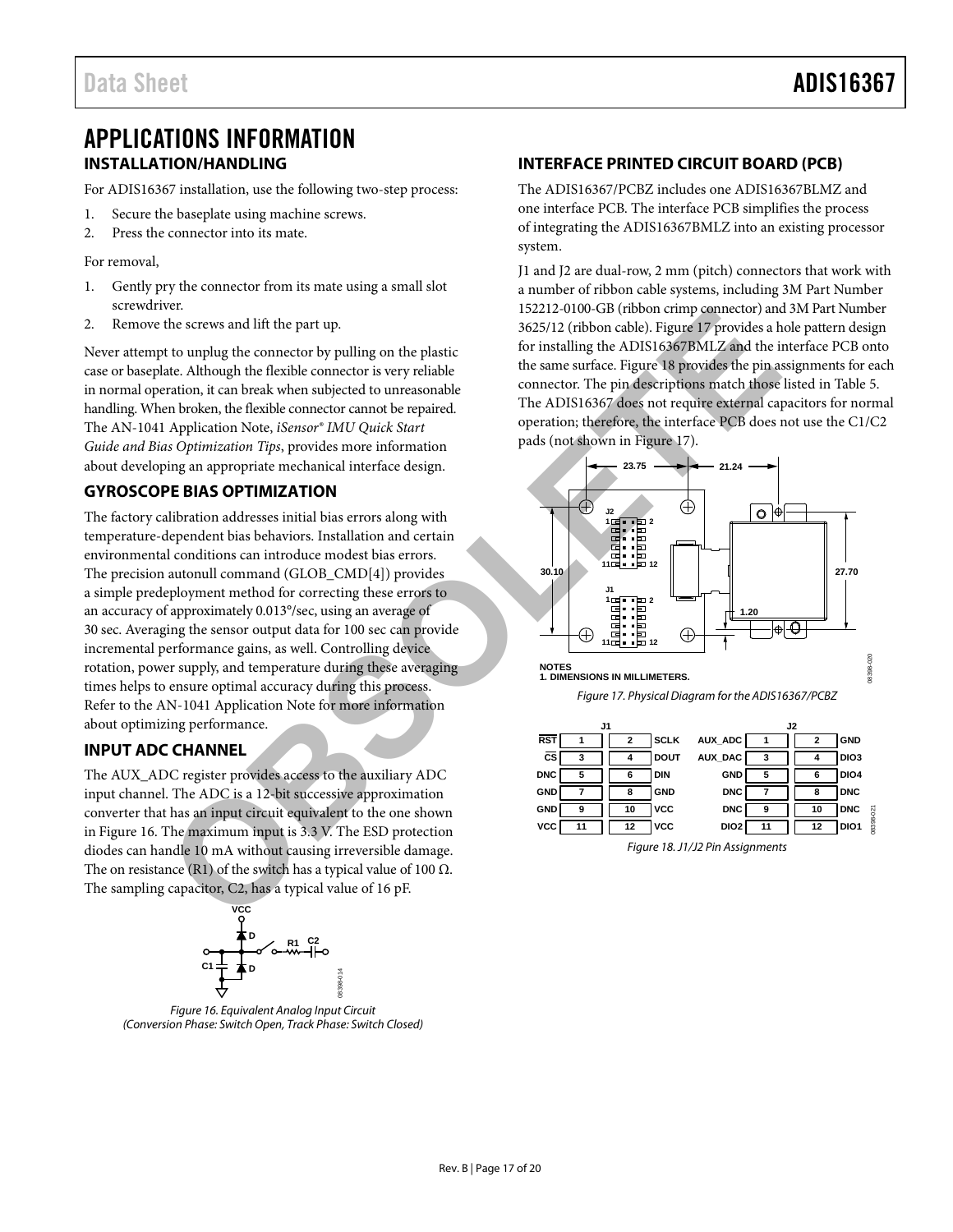### <span id="page-16-1"></span><span id="page-16-0"></span>APPLICATIONS INFORMATION **INSTALLATION/HANDLING**

For ADIS16367 installation, use the following two-step process:

- 1. Secure the baseplate using machine screws.
- 2. Press the connector into its mate.

For removal,

- 1. Gently pry the connector from its mate using a small slot screwdriver.
- 2. Remove the screws and lift the part up.

Never attempt to unplug the connector by pulling on the plastic case or baseplate. Although the flexible connector is very reliable in normal operation, it can break when subjected to unreasonable handling. When broken, the flexible connector cannot be repaired. The AN-1041 Application Note, *iSensor® IMU Quick Start Guide and Bias Optimization Tips*, provides more information about developing an appropriate mechanical interface design.

### <span id="page-16-2"></span>**GYROSCOPE BIAS OPTIMIZATION**

The factory calibration addresses initial bias errors along with temperature-dependent bias behaviors. Installation and certain environmental conditions can introduce modest bias errors. The precision autonull command (GLOB\_CMD[4]) provides a simple predeployment method for correcting these errors to an accuracy of approximately 0.013°/sec, using an average of 30 sec. Averaging the sensor output data for 100 sec can provide incremental performance gains, as well. Controlling device rotation, power supply, and temperature during these averaging times helps to ensure optimal accuracy during this process. Refer to the AN-1041 Application Note for more information about optimizing performance. For excess and lift the part up.<br>
the screws and lift the part up.<br>
the screws and lift the part up.<br>
to unplag the connector by pulling on the plastic<br>
to travelling the connector is very relation<br>
the same surface. Figur

#### <span id="page-16-3"></span>**INPUT ADC CHANNEL**

The AUX\_ADC register provides access to the auxiliary ADC input channel. The ADC is a 12-bit successive approximation converter that has an input circuit equivalent to the one shown in [Figure 16.](#page-16-5) The maximum input is 3.3 V. The ESD protection diodes can handle 10 mA without causing irreversible damage. The on resistance (R1) of the switch has a typical value of 100  $\Omega$ . The sampling capacitor, C2, has a typical value of 16 pF.



<span id="page-16-5"></span>*Figure 16. Equivalent Analog Input Circuit (Conversion Phase: Switch Open, Track Phase: Switch Closed)*

#### <span id="page-16-4"></span>**INTERFACE PRINTED CIRCUIT BOARD (PCB)**

The ADIS16367/PCBZ includes one ADIS16367BLMZ and one interface PCB. The interface PCB simplifies the process of integrating the ADIS16367BMLZ into an existing processor system.

J1 and J2 are dual-row, 2 mm (pitch) connectors that work with a number of ribbon cable systems, including 3M Part Number 152212-0100-GB (ribbon crimp connector) and 3M Part Number 3625/12 (ribbon cable). Figure 17 provides a hole pattern design for installing the ADIS16367BMLZ and the interface PCB onto the same surface. Figure 18 provides the pin assignments for each connector. The pin descriptions match those listed in [Table 5.](#page-6-2) The ADIS16367 does not require external capacitors for normal operation; therefore, the interface PCB does not use the C1/C2 pads (not shown in Figure 17).





<span id="page-16-6"></span>

<span id="page-16-7"></span>*Figure 18. J1/J2 Pin Assignments*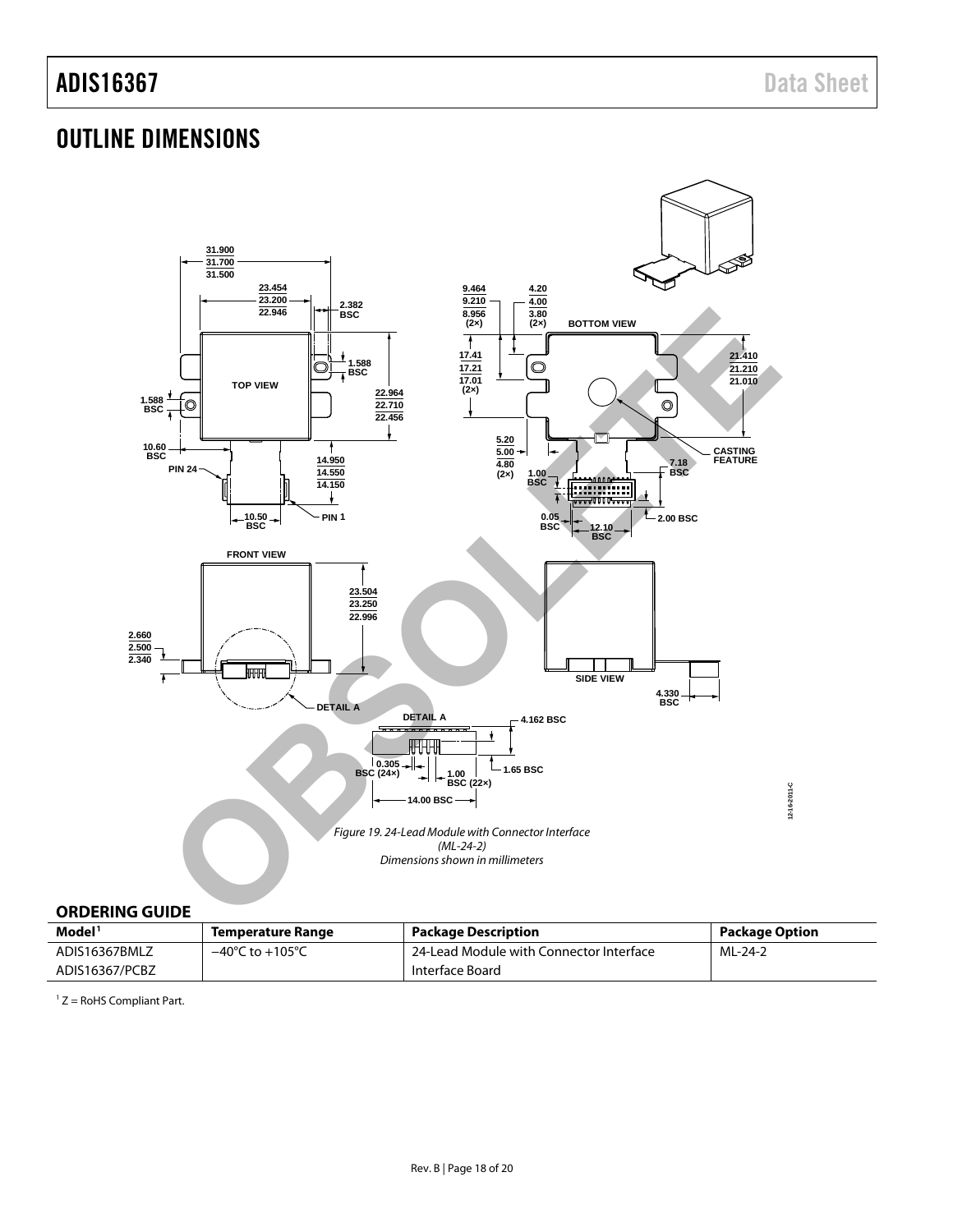### <span id="page-17-0"></span>OUTLINE DIMENSIONS



#### <span id="page-17-1"></span>**ORDERING GUIDE**

| Model <sup>1</sup> | Temperature Range                   | <b>Package Description</b>              | <b>Package Option</b> |
|--------------------|-------------------------------------|-----------------------------------------|-----------------------|
| ADIS16367BMLZ      | $-40^{\circ}$ C to $+105^{\circ}$ C | 24-Lead Module with Connector Interface | ML-24-2               |
| ADIS16367/PCBZ     |                                     | Interface Board                         |                       |

 $1 Z =$  RoHS Compliant Part.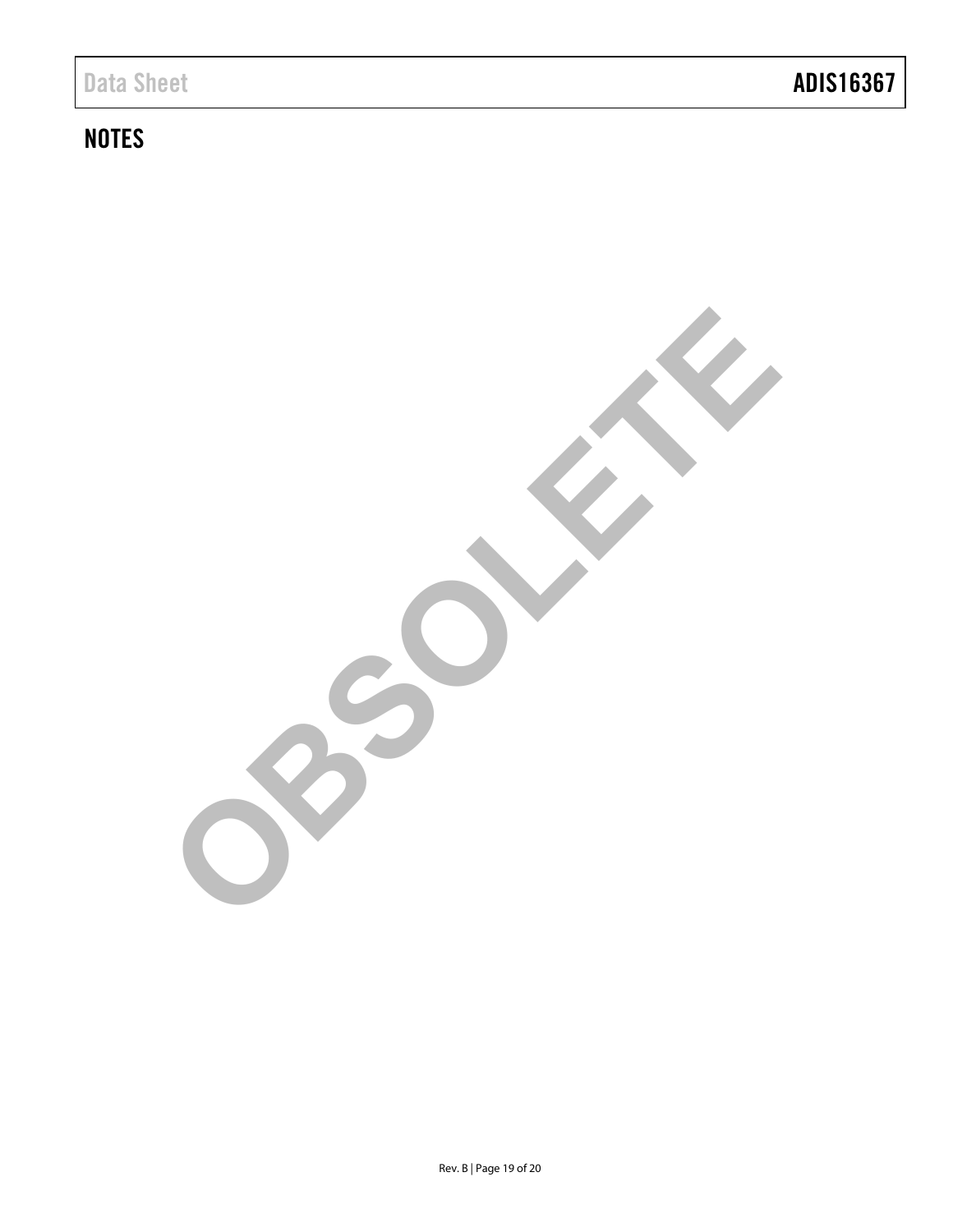### **NOTES**

**OBSOLETE**